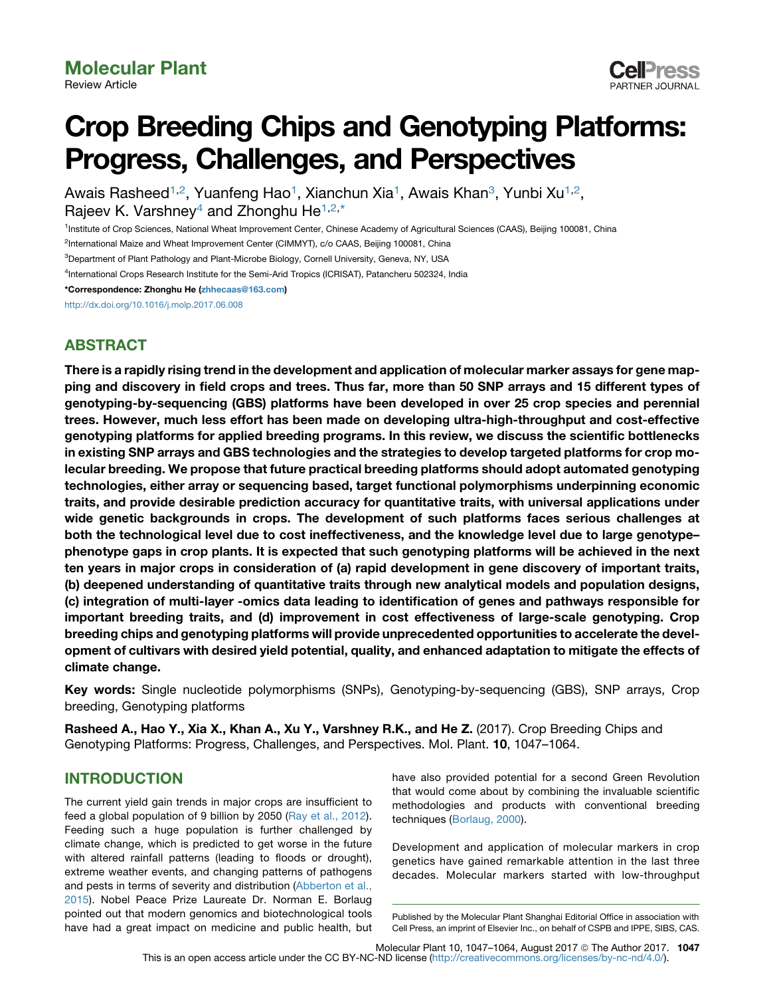

# Crop Breeding Chips and Genotyping Platforms: Progress, Challenges, and Perspectives

Awais Rasheed<sup>1,2</sup>, Yuanfeng Hao<sup>1</sup>, Xianchun Xia<sup>1</sup>, Awais Khan<sup>3</sup>, Yunbi Xu<sup>1,2</sup>, Rajeev K. Varshney<sup>4</sup> and Zhonghu He<sup>1,2,\*</sup>

<sup>1</sup>Institute of Crop Sciences, National Wheat Improvement Center, Chinese Academy of Agricultural Sciences (CAAS), Beijing 100081, China

<sup>2</sup>International Maize and Wheat Improvement Center (CIMMYT), c/o CAAS, Beijing 100081, China

<sup>3</sup>Department of Plant Pathology and Plant-Microbe Biology, Cornell University, Geneva, NY, USA

4 International Crops Research Institute for the Semi-Arid Tropics (ICRISAT), Patancheru 502324, India

\*Correspondence: Zhonghu He [\(zhhecaas@163.com\)](mailto:zhhecaas@163.com)

<http://dx.doi.org/10.1016/j.molp.2017.06.008>

# ABSTRACT

There is a rapidly rising trend in the development and application of molecular marker assays for gene mapping and discovery in field crops and trees. Thus far, more than 50 SNP arrays and 15 different types of genotyping-by-sequencing (GBS) platforms have been developed in over 25 crop species and perennial trees. However, much less effort has been made on developing ultra-high-throughput and cost-effective genotyping platforms for applied breeding programs. In this review, we discuss the scientific bottlenecks in existing SNP arrays and GBS technologies and the strategies to develop targeted platforms for crop molecular breeding. We propose that future practical breeding platforms should adopt automated genotyping technologies, either array or sequencing based, target functional polymorphisms underpinning economic traits, and provide desirable prediction accuracy for quantitative traits, with universal applications under wide genetic backgrounds in crops. The development of such platforms faces serious challenges at both the technological level due to cost ineffectiveness, and the knowledge level due to large genotype– phenotype gaps in crop plants. It is expected that such genotyping platforms will be achieved in the next ten years in major crops in consideration of (a) rapid development in gene discovery of important traits, (b) deepened understanding of quantitative traits through new analytical models and population designs, (c) integration of multi-layer -omics data leading to identification of genes and pathways responsible for important breeding traits, and (d) improvement in cost effectiveness of large-scale genotyping. Crop breeding chips and genotyping platforms will provide unprecedented opportunities to accelerate the development of cultivars with desired yield potential, quality, and enhanced adaptation to mitigate the effects of climate change.

Key words: Single nucleotide polymorphisms (SNPs), Genotyping-by-sequencing (GBS), SNP arrays, Crop breeding, Genotyping platforms

Rasheed A., Hao Y., Xia X., Khan A., Xu Y., Varshney R.K., and He Z. (2017). Crop Breeding Chips and Genotyping Platforms: Progress, Challenges, and Perspectives. Mol. Plant. 10, 1047–1064.

# INTRODUCTION

The current yield gain trends in major crops are insufficient to feed a global population of 9 billion by 2050 ([Ray et al., 2012\)](#page-15-0). Feeding such a huge population is further challenged by climate change, which is predicted to get worse in the future with altered rainfall patterns (leading to floods or drought), extreme weather events, and changing patterns of pathogens and pests in terms of severity and distribution ([Abberton et al.,](#page-12-0) [2015\)](#page-12-0). Nobel Peace Prize Laureate Dr. Norman E. Borlaug pointed out that modern genomics and biotechnological tools have had a great impact on medicine and public health, but have also provided potential for a second Green Revolution that would come about by combining the invaluable scientific methodologies and products with conventional breeding techniques [\(Borlaug, 2000](#page-13-0)).

Development and application of molecular markers in crop genetics have gained remarkable attention in the last three decades. Molecular markers started with low-throughput

Molecular Plant 10, 1047-1064, August 2017 © The Author 2017. 1047

Published by the Molecular Plant Shanghai Editorial Office in association with Cell Press, an imprint of Elsevier Inc., on behalf of CSPB and IPPE, SIBS, CAS.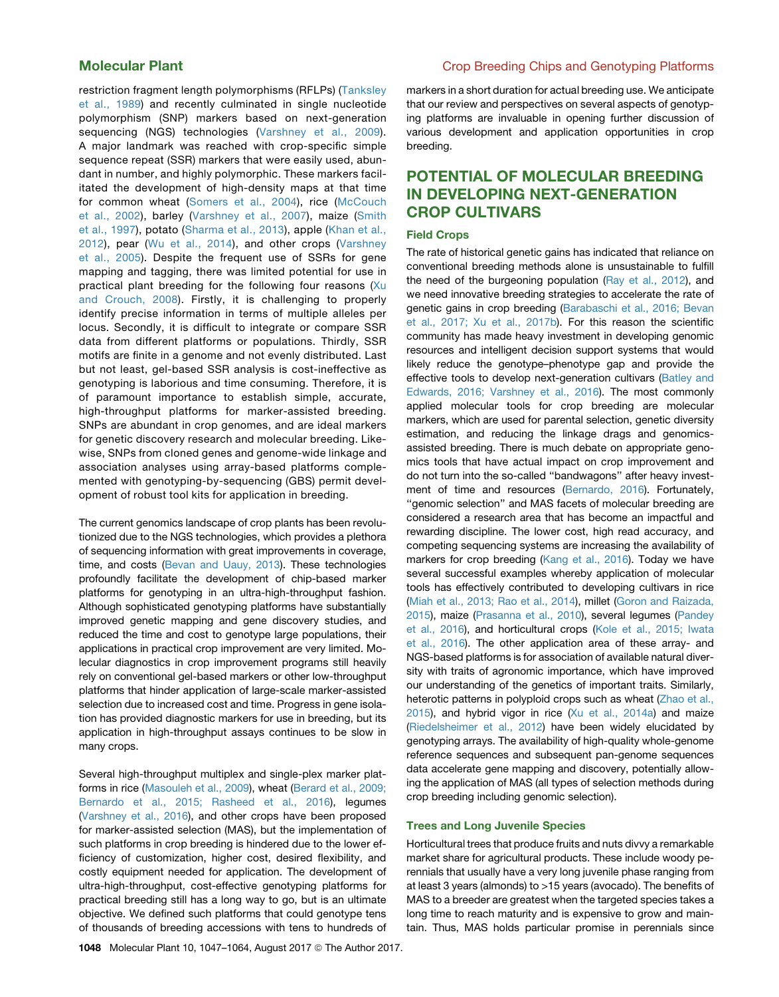restriction fragment length polymorphisms (RFLPs) ([Tanksley](#page-16-0) [et al., 1989\)](#page-16-0) and recently culminated in single nucleotide polymorphism (SNP) markers based on next-generation sequencing (NGS) technologies ([Varshney et al., 2009\)](#page-17-0). A major landmark was reached with crop-specific simple sequence repeat (SSR) markers that were easily used, abundant in number, and highly polymorphic. These markers facilitated the development of high-density maps at that time for common wheat ([Somers et al., 2004](#page-16-0)), rice [\(McCouch](#page-15-0) [et al., 2002](#page-15-0)), barley [\(Varshney et al., 2007](#page-17-0)), maize ([Smith](#page-16-0) [et al., 1997\)](#page-16-0), potato [\(Sharma et al., 2013](#page-16-0)), apple [\(Khan et al.,](#page-14-0) [2012\)](#page-14-0), pear [\(Wu et al., 2014\)](#page-17-0), and other crops ([Varshney](#page-17-0) [et al., 2005\)](#page-17-0). Despite the frequent use of SSRs for gene mapping and tagging, there was limited potential for use in practical plant breeding for the following four reasons [\(Xu](#page-17-0) [and Crouch, 2008\)](#page-17-0). Firstly, it is challenging to properly identify precise information in terms of multiple alleles per locus. Secondly, it is difficult to integrate or compare SSR data from different platforms or populations. Thirdly, SSR motifs are finite in a genome and not evenly distributed. Last but not least, gel-based SSR analysis is cost-ineffective as genotyping is laborious and time consuming. Therefore, it is of paramount importance to establish simple, accurate, high-throughput platforms for marker-assisted breeding. SNPs are abundant in crop genomes, and are ideal markers for genetic discovery research and molecular breeding. Likewise, SNPs from cloned genes and genome-wide linkage and association analyses using array-based platforms complemented with genotyping-by-sequencing (GBS) permit development of robust tool kits for application in breeding.

The current genomics landscape of crop plants has been revolutionized due to the NGS technologies, which provides a plethora of sequencing information with great improvements in coverage, time, and costs [\(Bevan and Uauy, 2013](#page-12-0)). These technologies profoundly facilitate the development of chip-based marker platforms for genotyping in an ultra-high-throughput fashion. Although sophisticated genotyping platforms have substantially improved genetic mapping and gene discovery studies, and reduced the time and cost to genotype large populations, their applications in practical crop improvement are very limited. Molecular diagnostics in crop improvement programs still heavily rely on conventional gel-based markers or other low-throughput platforms that hinder application of large-scale marker-assisted selection due to increased cost and time. Progress in gene isolation has provided diagnostic markers for use in breeding, but its application in high-throughput assays continues to be slow in many crops.

Several high-throughput multiplex and single-plex marker platforms in rice ([Masouleh et al., 2009\)](#page-15-0), wheat ([Berard et al., 2009;](#page-12-0) [Bernardo et al., 2015; Rasheed et al., 2016\)](#page-12-0), legumes [\(Varshney et al., 2016\)](#page-17-0), and other crops have been proposed for marker-assisted selection (MAS), but the implementation of such platforms in crop breeding is hindered due to the lower efficiency of customization, higher cost, desired flexibility, and costly equipment needed for application. The development of ultra-high-throughput, cost-effective genotyping platforms for practical breeding still has a long way to go, but is an ultimate objective. We defined such platforms that could genotype tens of thousands of breeding accessions with tens to hundreds of

# Molecular Plant Crop Breeding Chips and Genotyping Platforms

markers in a short duration for actual breeding use. We anticipate that our review and perspectives on several aspects of genotyping platforms are invaluable in opening further discussion of various development and application opportunities in crop breeding.

# POTENTIAL OF MOLECULAR BREEDING IN DEVELOPING NEXT-GENERATION CROP CULTIVARS

### Field Crops

The rate of historical genetic gains has indicated that reliance on conventional breeding methods alone is unsustainable to fulfill the need of the burgeoning population [\(Ray et al., 2012\)](#page-15-0), and we need innovative breeding strategies to accelerate the rate of genetic gains in crop breeding ([Barabaschi et al., 2016; Bevan](#page-12-0) [et al., 2017; Xu et al., 2017b\)](#page-12-0). For this reason the scientific community has made heavy investment in developing genomic resources and intelligent decision support systems that would likely reduce the genotype–phenotype gap and provide the effective tools to develop next-generation cultivars [\(Batley and](#page-12-0) [Edwards, 2016; Varshney et al., 2016\)](#page-12-0). The most commonly applied molecular tools for crop breeding are molecular markers, which are used for parental selection, genetic diversity estimation, and reducing the linkage drags and genomicsassisted breeding. There is much debate on appropriate genomics tools that have actual impact on crop improvement and do not turn into the so-called ''bandwagons'' after heavy investment of time and resources [\(Bernardo, 2016](#page-12-0)). Fortunately, ''genomic selection'' and MAS facets of molecular breeding are considered a research area that has become an impactful and rewarding discipline. The lower cost, high read accuracy, and competing sequencing systems are increasing the availability of markers for crop breeding ([Kang et al., 2016\)](#page-14-0). Today we have several successful examples whereby application of molecular tools has effectively contributed to developing cultivars in rice ([Miah et al., 2013; Rao et al., 2014](#page-15-0)), millet ([Goron and Raizada,](#page-13-0) [2015](#page-13-0)), maize [\(Prasanna et al., 2010\)](#page-15-0), several legumes ([Pandey](#page-15-0) [et al., 2016\)](#page-15-0), and horticultural crops [\(Kole et al., 2015; Iwata](#page-14-0) [et al., 2016](#page-14-0)). The other application area of these array- and NGS-based platforms is for association of available natural diversity with traits of agronomic importance, which have improved our understanding of the genetics of important traits. Similarly, heterotic patterns in polyploid crops such as wheat ([Zhao et al.,](#page-17-0) [2015](#page-17-0)), and hybrid vigor in rice ([Xu et al., 2014a\)](#page-17-0) and maize ([Riedelsheimer et al., 2012](#page-15-0)) have been widely elucidated by genotyping arrays. The availability of high-quality whole-genome reference sequences and subsequent pan-genome sequences data accelerate gene mapping and discovery, potentially allowing the application of MAS (all types of selection methods during crop breeding including genomic selection).

### Trees and Long Juvenile Species

Horticultural trees that produce fruits and nuts divvy a remarkable market share for agricultural products. These include woody perennials that usually have a very long juvenile phase ranging from at least 3 years (almonds) to >15 years (avocado). The benefits of MAS to a breeder are greatest when the targeted species takes a long time to reach maturity and is expensive to grow and maintain. Thus, MAS holds particular promise in perennials since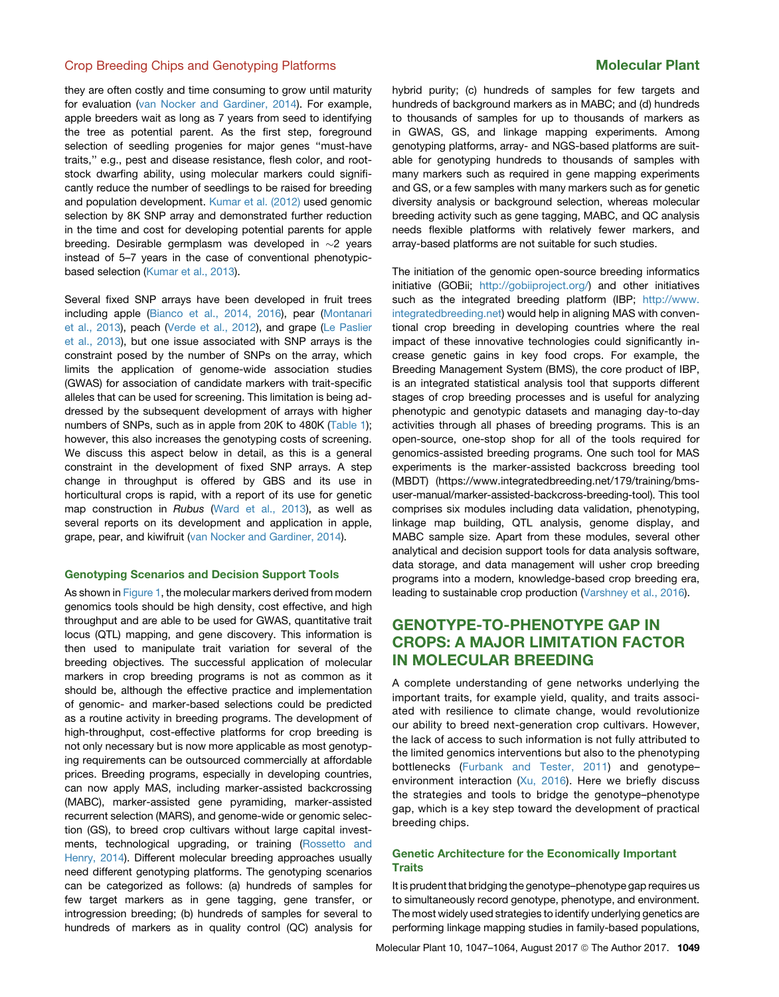they are often costly and time consuming to grow until maturity for evaluation [\(van Nocker and Gardiner, 2014](#page-16-0)). For example, apple breeders wait as long as 7 years from seed to identifying the tree as potential parent. As the first step, foreground selection of seedling progenies for major genes ''must-have traits,'' e.g., pest and disease resistance, flesh color, and rootstock dwarfing ability, using molecular markers could significantly reduce the number of seedlings to be raised for breeding and population development. [Kumar et al. \(2012\)](#page-14-0) used genomic selection by 8K SNP array and demonstrated further reduction in the time and cost for developing potential parents for apple breeding. Desirable germplasm was developed in  $\sim$ 2 years instead of 5–7 years in the case of conventional phenotypicbased selection [\(Kumar et al., 2013](#page-14-0)).

Several fixed SNP arrays have been developed in fruit trees including apple ([Bianco et al., 2014, 2016](#page-12-0)), pear [\(Montanari](#page-15-0) [et al., 2013\)](#page-15-0), peach ([Verde et al., 2012](#page-17-0)), and grape [\(Le Paslier](#page-14-0) [et al., 2013\)](#page-14-0), but one issue associated with SNP arrays is the constraint posed by the number of SNPs on the array, which limits the application of genome-wide association studies (GWAS) for association of candidate markers with trait-specific alleles that can be used for screening. This limitation is being addressed by the subsequent development of arrays with higher numbers of SNPs, such as in apple from 20K to 480K ([Table 1\)](#page-3-0); however, this also increases the genotyping costs of screening. We discuss this aspect below in detail, as this is a general constraint in the development of fixed SNP arrays. A step change in throughput is offered by GBS and its use in horticultural crops is rapid, with a report of its use for genetic map construction in *Rubus* ([Ward et al., 2013](#page-17-0)), as well as several reports on its development and application in apple, grape, pear, and kiwifruit [\(van Nocker and Gardiner, 2014](#page-16-0)).

### Genotyping Scenarios and Decision Support Tools

As shown in [Figure 1,](#page-5-0) the molecular markers derived from modern genomics tools should be high density, cost effective, and high throughput and are able to be used for GWAS, quantitative trait locus (QTL) mapping, and gene discovery. This information is then used to manipulate trait variation for several of the breeding objectives. The successful application of molecular markers in crop breeding programs is not as common as it should be, although the effective practice and implementation of genomic- and marker-based selections could be predicted as a routine activity in breeding programs. The development of high-throughput, cost-effective platforms for crop breeding is not only necessary but is now more applicable as most genotyping requirements can be outsourced commercially at affordable prices. Breeding programs, especially in developing countries, can now apply MAS, including marker-assisted backcrossing (MABC), marker-assisted gene pyramiding, marker-assisted recurrent selection (MARS), and genome-wide or genomic selection (GS), to breed crop cultivars without large capital investments, technological upgrading, or training ([Rossetto and](#page-15-0) [Henry, 2014\)](#page-15-0). Different molecular breeding approaches usually need different genotyping platforms. The genotyping scenarios can be categorized as follows: (a) hundreds of samples for few target markers as in gene tagging, gene transfer, or introgression breeding; (b) hundreds of samples for several to hundreds of markers as in quality control (QC) analysis for

hybrid purity; (c) hundreds of samples for few targets and hundreds of background markers as in MABC; and (d) hundreds to thousands of samples for up to thousands of markers as in GWAS, GS, and linkage mapping experiments. Among genotyping platforms, array- and NGS-based platforms are suitable for genotyping hundreds to thousands of samples with many markers such as required in gene mapping experiments and GS, or a few samples with many markers such as for genetic diversity analysis or background selection, whereas molecular breeding activity such as gene tagging, MABC, and QC analysis needs flexible platforms with relatively fewer markers, and array-based platforms are not suitable for such studies.

The initiation of the genomic open-source breeding informatics initiative (GOBii; [http://gobiiproject.org/\)](http://gobiiproject.org/) and other initiatives such as the integrated breeding platform (IBP; [http://www.](http://www.integratedbreeding.net) [integratedbreeding.net](http://www.integratedbreeding.net)) would help in aligning MAS with conventional crop breeding in developing countries where the real impact of these innovative technologies could significantly increase genetic gains in key food crops. For example, the Breeding Management System (BMS), the core product of IBP, is an integrated statistical analysis tool that supports different stages of crop breeding processes and is useful for analyzing phenotypic and genotypic datasets and managing day-to-day activities through all phases of breeding programs. This is an open-source, one-stop shop for all of the tools required for genomics-assisted breeding programs. One such tool for MAS experiments is the marker-assisted backcross breeding tool (MBDT) (https://www.integratedbreeding.net/179/training/bmsuser-manual/marker-assisted-backcross-breeding-tool). This tool comprises six modules including data validation, phenotyping, linkage map building, QTL analysis, genome display, and MABC sample size. Apart from these modules, several other analytical and decision support tools for data analysis software, data storage, and data management will usher crop breeding programs into a modern, knowledge-based crop breeding era, leading to sustainable crop production ([Varshney et al., 2016\)](#page-17-0).

# GENOTYPE-TO-PHENOTYPE GAP IN CROPS: A MAJOR LIMITATION FACTOR IN MOLECULAR BREEDING

A complete understanding of gene networks underlying the important traits, for example yield, quality, and traits associated with resilience to climate change, would revolutionize our ability to breed next-generation crop cultivars. However, the lack of access to such information is not fully attributed to the limited genomics interventions but also to the phenotyping bottlenecks [\(Furbank and Tester, 2011\)](#page-13-0) and genotype– environment interaction ([Xu, 2016\)](#page-17-0). Here we briefly discuss the strategies and tools to bridge the genotype–phenotype gap, which is a key step toward the development of practical breeding chips.

### Genetic Architecture for the Economically Important **Traits**

It is prudent that bridging the genotype–phenotype gap requires us to simultaneously record genotype, phenotype, and environment. The most widely used strategies to identify underlying genetics are performing linkage mapping studies in family-based populations,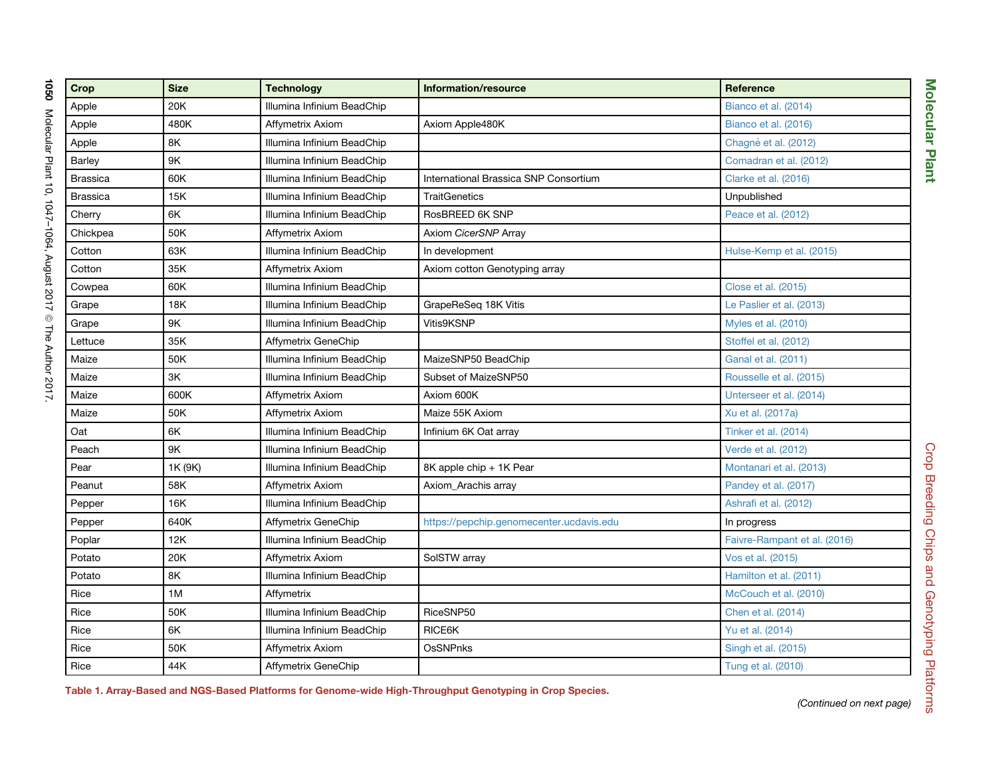<span id="page-3-0"></span>

| Crop            | <b>Size</b>   | <b>Technology</b>          | Information/resource                     | Reference                    |  |
|-----------------|---------------|----------------------------|------------------------------------------|------------------------------|--|
| Apple           | 20K           | Illumina Infinium BeadChip |                                          | Bianco et al. (2014)         |  |
| Apple           | 480K          | Affymetrix Axiom           | Axiom Apple480K                          | Bianco et al. (2016)         |  |
| Apple           | 8K            | Illumina Infinium BeadChip |                                          | Chagné et al. (2012)         |  |
| Barley          | 9K            | Illumina Infinium BeadChip |                                          | Comadran et al. (2012)       |  |
| <b>Brassica</b> | 60K           | Illumina Infinium BeadChip | International Brassica SNP Consortium    | Clarke et al. (2016)         |  |
| <b>Brassica</b> | 15K           | Illumina Infinium BeadChip | <b>TraitGenetics</b>                     | Unpublished                  |  |
| Cherry          | 6K            | Illumina Infinium BeadChip | RosBREED 6K SNP                          | Peace et al. (2012)          |  |
| Chickpea        | 50K           | Affymetrix Axiom           | Axiom CicerSNP Array                     |                              |  |
| Cotton          | 63K           | Illumina Infinium BeadChip | In development                           | Hulse-Kemp et al. (2015)     |  |
| Cotton          | 35K           | Affymetrix Axiom           | Axiom cotton Genotyping array            |                              |  |
| Cowpea          | 60K           | Illumina Infinium BeadChip |                                          | Close et al. (2015)          |  |
| Grape           | 18K           | Illumina Infinium BeadChip | GrapeReSeq 18K Vitis                     | Le Paslier et al. (2013)     |  |
| Grape           | 9K            | Illumina Infinium BeadChip | Vitis9KSNP                               | Myles et al. (2010)          |  |
| Lettuce         | 35K           | Affymetrix GeneChip        |                                          | Stoffel et al. (2012)        |  |
| Maize           | 50K           | Illumina Infinium BeadChip | MaizeSNP50 BeadChip                      | Ganal et al. (2011)          |  |
| Maize           | $3\mathsf{K}$ | Illumina Infinium BeadChip | Subset of MaizeSNP50                     | Rousselle et al. (2015)      |  |
| Maize           | 600K          | Affymetrix Axiom           | Axiom 600K                               | Unterseer et al. (2014)      |  |
| Maize           | 50K           | Affymetrix Axiom           | Maize 55K Axiom                          | Xu et al. (2017a)            |  |
| Oat             | 6K            | Illumina Infinium BeadChip | Infinium 6K Oat array                    | Tinker et al. (2014)         |  |
| Peach           | 9K            | Illumina Infinium BeadChip |                                          | Verde et al. (2012)          |  |
| Pear            | 1K (9K)       | Illumina Infinium BeadChip | 8K apple chip + 1K Pear                  | Montanari et al. (2013)      |  |
| Peanut          | 58K           | Affymetrix Axiom           | Axiom Arachis array                      | Pandey et al. (2017)         |  |
| Pepper          | 16K           | Illumina Infinium BeadChip |                                          | Ashrafi et al. (2012)        |  |
| Pepper          | 640K          | Affymetrix GeneChip        | https://pepchip.genomecenter.ucdavis.edu | In progress                  |  |
| Poplar          | 12K           | Illumina Infinium BeadChip |                                          | Faivre-Rampant et al. (2016) |  |
| Potato          | 20K           | Affymetrix Axiom           | SolSTW array                             | Vos et al. (2015)            |  |
| Potato          | 8K            | Illumina Infinium BeadChip |                                          | Hamilton et al. (2011)       |  |
| Rice            | 1M            | Affymetrix                 |                                          | McCouch et al. (2010)        |  |
| Rice            | 50K           | Illumina Infinium BeadChip | RiceSNP50                                | Chen et al. (2014)           |  |
| Rice            | 6K            | Illumina Infinium BeadChip | RICE6K                                   | Yu et al. (2014)             |  |
| Rice            | 50K           | Affymetrix Axiom           | <b>OsSNPnks</b>                          | Singh et al. (2015)          |  |
| Rice            | 44K           | Affymetrix GeneChip        |                                          | Tung et al. (2010)           |  |

Table 1. Array-Based and NGS-Based Platforms for Genome-wide High-Throughput Genotyping in Crop Species.

*(Continued on next page)*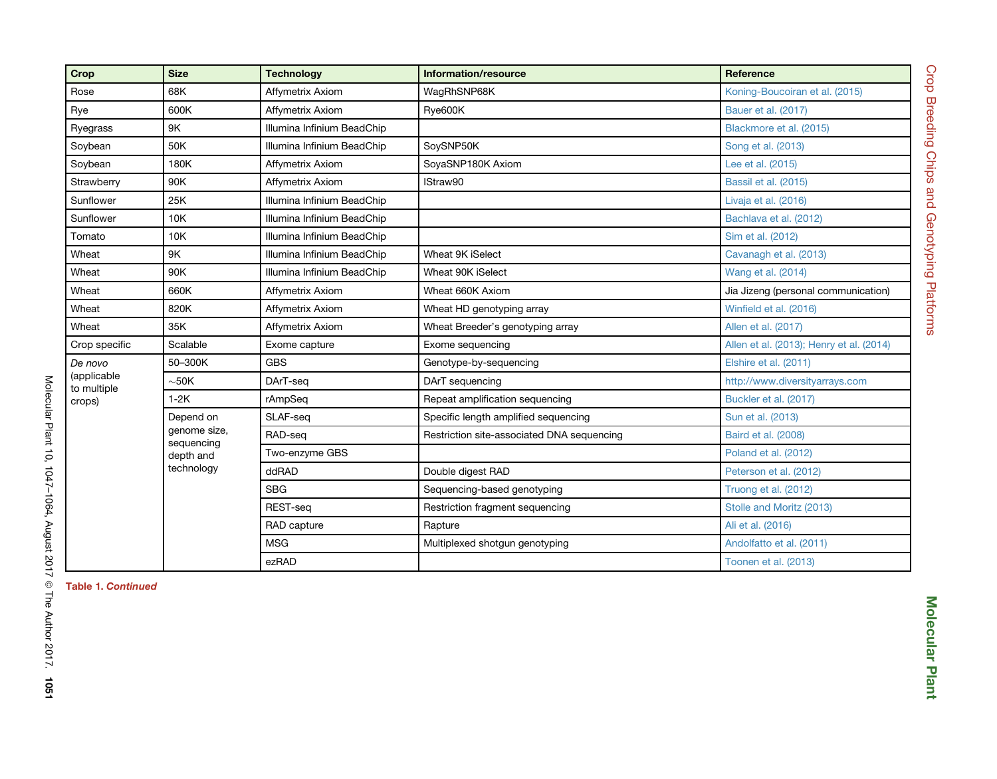| Crop                                            | <b>Size</b>                                                        | <b>Technology</b>          | Information/resource                       | Reference                                |  |
|-------------------------------------------------|--------------------------------------------------------------------|----------------------------|--------------------------------------------|------------------------------------------|--|
| Rose                                            | 68K                                                                | Affymetrix Axiom           | WaqRhSNP68K                                | Koning-Boucoiran et al. (2015)           |  |
| Rye                                             | 600K                                                               | Affymetrix Axiom           | Rye600K                                    | Bauer et al. (2017)                      |  |
| Ryegrass                                        | 9K                                                                 | Illumina Infinium BeadChip |                                            | Blackmore et al. (2015)                  |  |
| Soybean                                         | 50K                                                                | Illumina Infinium BeadChip | SovSNP50K                                  | Song et al. (2013)                       |  |
| Soybean                                         | 180K                                                               | Affymetrix Axiom           | SoyaSNP180K Axiom                          | Lee et al. (2015)                        |  |
| Strawberry                                      | 90K                                                                | Affymetrix Axiom           | IStraw90                                   | Bassil et al. (2015)                     |  |
| Sunflower                                       | 25K                                                                | Illumina Infinium BeadChip |                                            | Livaja et al. (2016)                     |  |
| Sunflower                                       | 10K                                                                | Illumina Infinium BeadChip |                                            | Bachlava et al. (2012)                   |  |
| Tomato                                          | 10K                                                                | Illumina Infinium BeadChip |                                            | Sim et al. (2012)                        |  |
| Wheat                                           | 9K                                                                 | Illumina Infinium BeadChip | Wheat 9K iSelect                           | Cavanagh et al. (2013)                   |  |
| Wheat                                           | 90K                                                                | Illumina Infinium BeadChip | Wheat 90K iSelect                          | Wang et al. (2014)                       |  |
| Wheat                                           | 660K                                                               | Affymetrix Axiom           | Wheat 660K Axiom                           | Jia Jizeng (personal communication)      |  |
| Wheat                                           | 820K                                                               | Affymetrix Axiom           | Wheat HD genotyping array                  | Winfield et al. (2016)                   |  |
| Wheat                                           | 35K                                                                | Affymetrix Axiom           | Wheat Breeder's genotyping array           | Allen et al. (2017)                      |  |
| Crop specific                                   | Scalable                                                           | Exome capture              | Exome sequencing                           | Allen et al. (2013); Henry et al. (2014) |  |
| De novo<br>(applicable<br>to multiple<br>crops) | 50-300K                                                            | <b>GBS</b>                 | Genotype-by-sequencing                     | Elshire et al. (2011)                    |  |
|                                                 | $\sim$ 50K                                                         | DArT-seq                   | DArT sequencing                            | http://www.diversityarrays.com           |  |
|                                                 | $1-2K$                                                             | rAmpSeq                    | Repeat amplification sequencing            | Buckler et al. (2017)                    |  |
|                                                 | Depend on<br>genome size,<br>sequencing<br>depth and<br>technology | SLAF-seq                   | Specific length amplified sequencing       | Sun et al. (2013)                        |  |
|                                                 |                                                                    | RAD-seg                    | Restriction site-associated DNA sequencing | Baird et al. (2008)                      |  |
|                                                 |                                                                    | Two-enzyme GBS             |                                            | Poland et al. (2012)                     |  |
|                                                 |                                                                    | ddRAD                      | Double digest RAD                          | Peterson et al. (2012)                   |  |
|                                                 |                                                                    | <b>SBG</b>                 | Sequencing-based genotyping                | Truong et al. (2012)                     |  |
|                                                 |                                                                    | REST-seq                   | Restriction fragment sequencing            | Stolle and Moritz (2013)                 |  |
|                                                 |                                                                    | RAD capture                | Rapture                                    | Ali et al. (2016)                        |  |
|                                                 |                                                                    | <b>MSG</b>                 | Multiplexed shotgun genotyping             | Andolfatto et al. (2011)                 |  |
|                                                 |                                                                    | ezRAD                      |                                            | Toonen et al. (2013)                     |  |

Table 1. Continued

Molecular Plant 10, 1047–1064, August 2017

 $^{\circ}$ 

The Author 2017.

1051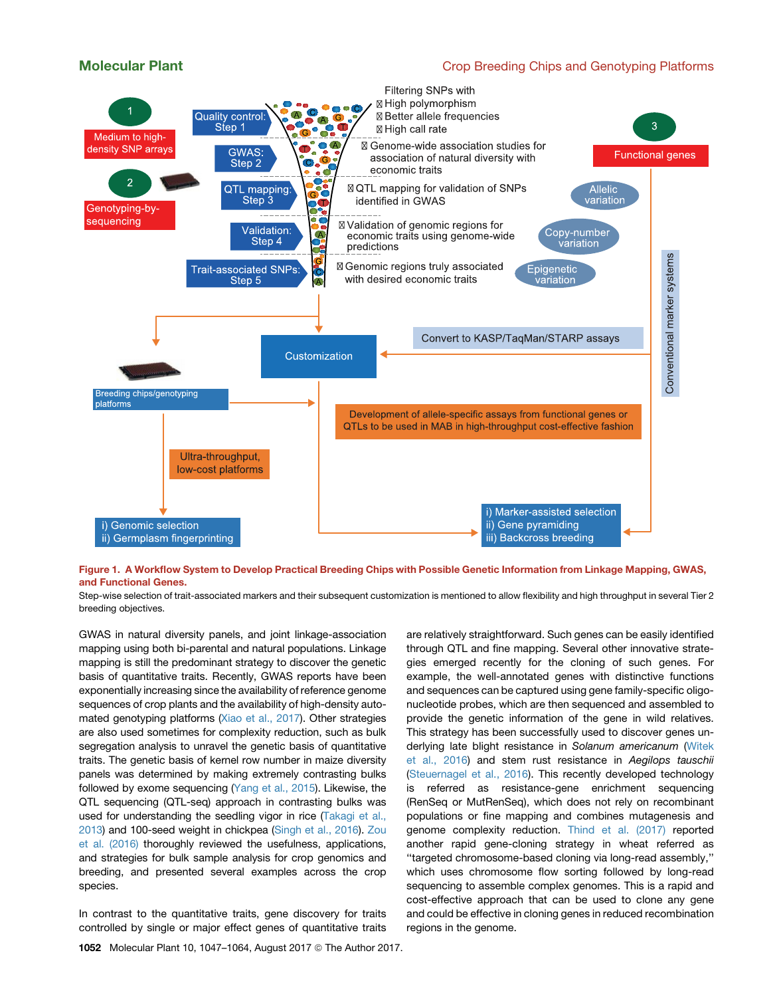# <span id="page-5-0"></span>Molecular Plant Crop Breeding Chips and Genotyping Platforms



Figure 1. A Workflow System to Develop Practical Breeding Chips with Possible Genetic Information from Linkage Mapping, GWAS, and Functional Genes.

Step-wise selection of trait-associated markers and their subsequent customization is mentioned to allow flexibility and high throughput in several Tier 2 breeding objectives.

GWAS in natural diversity panels, and joint linkage-association mapping using both bi-parental and natural populations. Linkage mapping is still the predominant strategy to discover the genetic basis of quantitative traits. Recently, GWAS reports have been exponentially increasing since the availability of reference genome sequences of crop plants and the availability of high-density automated genotyping platforms ([Xiao et al., 2017\)](#page-17-0). Other strategies are also used sometimes for complexity reduction, such as bulk segregation analysis to unravel the genetic basis of quantitative traits. The genetic basis of kernel row number in maize diversity panels was determined by making extremely contrasting bulks followed by exome sequencing ([Yang et al., 2015\)](#page-17-0). Likewise, the QTL sequencing (QTL-seq) approach in contrasting bulks was used for understanding the seedling vigor in rice [\(Takagi et al.,](#page-16-0) [2013\)](#page-16-0) and 100-seed weight in chickpea ([Singh et al., 2016\)](#page-16-0). [Zou](#page-17-0) [et al. \(2016\)](#page-17-0) thoroughly reviewed the usefulness, applications, and strategies for bulk sample analysis for crop genomics and breeding, and presented several examples across the crop species.

In contrast to the quantitative traits, gene discovery for traits controlled by single or major effect genes of quantitative traits

are relatively straightforward. Such genes can be easily identified through QTL and fine mapping. Several other innovative strategies emerged recently for the cloning of such genes. For example, the well-annotated genes with distinctive functions and sequences can be captured using gene family-specific oligonucleotide probes, which are then sequenced and assembled to provide the genetic information of the gene in wild relatives. This strategy has been successfully used to discover genes underlying late blight resistance in *Solanum americanum* ([Witek](#page-17-0) [et al., 2016](#page-17-0)) and stem rust resistance in *Aegilops tauschii* ([Steuernagel et al., 2016](#page-16-0)). This recently developed technology is referred as resistance-gene enrichment sequencing (RenSeq or MutRenSeq), which does not rely on recombinant populations or fine mapping and combines mutagenesis and genome complexity reduction. [Thind et al. \(2017\)](#page-16-0) reported another rapid gene-cloning strategy in wheat referred as ''targeted chromosome-based cloning via long-read assembly,'' which uses chromosome flow sorting followed by long-read sequencing to assemble complex genomes. This is a rapid and cost-effective approach that can be used to clone any gene and could be effective in cloning genes in reduced recombination regions in the genome.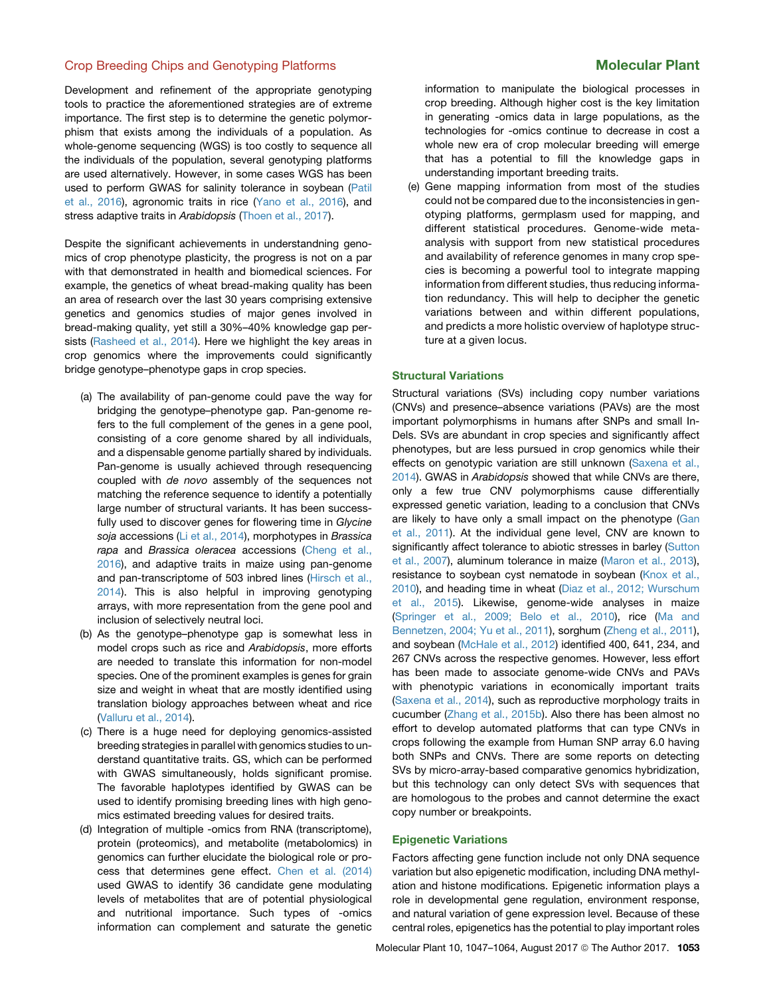Development and refinement of the appropriate genotyping tools to practice the aforementioned strategies are of extreme importance. The first step is to determine the genetic polymorphism that exists among the individuals of a population. As whole-genome sequencing (WGS) is too costly to sequence all the individuals of the population, several genotyping platforms are used alternatively. However, in some cases WGS has been used to perform GWAS for salinity tolerance in soybean ([Patil](#page-15-0) [et al., 2016\)](#page-15-0), agronomic traits in rice [\(Yano et al., 2016\)](#page-17-0), and stress adaptive traits in *Arabidopsis* [\(Thoen et al., 2017](#page-16-0)).

Despite the significant achievements in understandning genomics of crop phenotype plasticity, the progress is not on a par with that demonstrated in health and biomedical sciences. For example, the genetics of wheat bread-making quality has been an area of research over the last 30 years comprising extensive genetics and genomics studies of major genes involved in bread-making quality, yet still a 30%–40% knowledge gap persists [\(Rasheed et al., 2014](#page-15-0)). Here we highlight the key areas in crop genomics where the improvements could significantly bridge genotype–phenotype gaps in crop species.

- (a) The availability of pan-genome could pave the way for bridging the genotype–phenotype gap. Pan-genome refers to the full complement of the genes in a gene pool, consisting of a core genome shared by all individuals, and a dispensable genome partially shared by individuals. Pan-genome is usually achieved through resequencing coupled with *de novo* assembly of the sequences not matching the reference sequence to identify a potentially large number of structural variants. It has been successfully used to discover genes for flowering time in *Glycine soja* accessions [\(Li et al., 2014\)](#page-14-0), morphotypes in *Brassica rapa* and *Brassica oleracea* accessions ([Cheng et al.,](#page-13-0) [2016](#page-13-0)), and adaptive traits in maize using pan-genome and pan-transcriptome of 503 inbred lines ([Hirsch et al.,](#page-14-0) [2014](#page-14-0)). This is also helpful in improving genotyping arrays, with more representation from the gene pool and inclusion of selectively neutral loci.
- (b) As the genotype–phenotype gap is somewhat less in model crops such as rice and *Arabidopsis*, more efforts are needed to translate this information for non-model species. One of the prominent examples is genes for grain size and weight in wheat that are mostly identified using translation biology approaches between wheat and rice ([Valluru et al., 2014\)](#page-16-0).
- (c) There is a huge need for deploying genomics-assisted breeding strategies in parallel with genomics studies to understand quantitative traits. GS, which can be performed with GWAS simultaneously, holds significant promise. The favorable haplotypes identified by GWAS can be used to identify promising breeding lines with high genomics estimated breeding values for desired traits.
- (d) Integration of multiple -omics from RNA (transcriptome), protein (proteomics), and metabolite (metabolomics) in genomics can further elucidate the biological role or process that determines gene effect. [Chen et al. \(2014\)](#page-13-0) used GWAS to identify 36 candidate gene modulating levels of metabolites that are of potential physiological and nutritional importance. Such types of -omics information can complement and saturate the genetic

information to manipulate the biological processes in crop breeding. Although higher cost is the key limitation in generating -omics data in large populations, as the technologies for -omics continue to decrease in cost a whole new era of crop molecular breeding will emerge that has a potential to fill the knowledge gaps in understanding important breeding traits.

(e) Gene mapping information from most of the studies could not be compared due to the inconsistencies in genotyping platforms, germplasm used for mapping, and different statistical procedures. Genome-wide metaanalysis with support from new statistical procedures and availability of reference genomes in many crop species is becoming a powerful tool to integrate mapping information from different studies, thus reducing information redundancy. This will help to decipher the genetic variations between and within different populations, and predicts a more holistic overview of haplotype structure at a given locus.

### Structural Variations

Structural variations (SVs) including copy number variations (CNVs) and presence–absence variations (PAVs) are the most important polymorphisms in humans after SNPs and small In-Dels. SVs are abundant in crop species and significantly affect phenotypes, but are less pursued in crop genomics while their effects on genotypic variation are still unknown ([Saxena et al.,](#page-15-0) [2014](#page-15-0)). GWAS in *Arabidopsis* showed that while CNVs are there, only a few true CNV polymorphisms cause differentially expressed genetic variation, leading to a conclusion that CNVs are likely to have only a small impact on the phenotype [\(Gan](#page-13-0) [et al., 2011](#page-13-0)). At the individual gene level, CNV are known to significantly affect tolerance to abiotic stresses in barley ([Sutton](#page-16-0) [et al., 2007\)](#page-16-0), aluminum tolerance in maize ([Maron et al., 2013](#page-15-0)), resistance to soybean cyst nematode in soybean [\(Knox et al.,](#page-14-0) [2010](#page-14-0)), and heading time in wheat ([Diaz et al., 2012; Wurschum](#page-13-0) [et al., 2015](#page-13-0)). Likewise, genome-wide analyses in maize ([Springer et al., 2009; Belo et al., 2010](#page-16-0)), rice ([Ma and](#page-15-0) [Bennetzen, 2004; Yu et al., 2011\)](#page-15-0), sorghum ([Zheng et al., 2011](#page-17-0)), and soybean [\(McHale et al., 2012](#page-15-0)) identified 400, 641, 234, and 267 CNVs across the respective genomes. However, less effort has been made to associate genome-wide CNVs and PAVs with phenotypic variations in economically important traits ([Saxena et al., 2014](#page-15-0)), such as reproductive morphology traits in cucumber [\(Zhang et al., 2015b\)](#page-17-0). Also there has been almost no effort to develop automated platforms that can type CNVs in crops following the example from Human SNP array 6.0 having both SNPs and CNVs. There are some reports on detecting SVs by micro-array-based comparative genomics hybridization, but this technology can only detect SVs with sequences that are homologous to the probes and cannot determine the exact copy number or breakpoints.

### Epigenetic Variations

Factors affecting gene function include not only DNA sequence variation but also epigenetic modification, including DNA methylation and histone modifications. Epigenetic information plays a role in developmental gene regulation, environment response, and natural variation of gene expression level. Because of these central roles, epigenetics has the potential to play important roles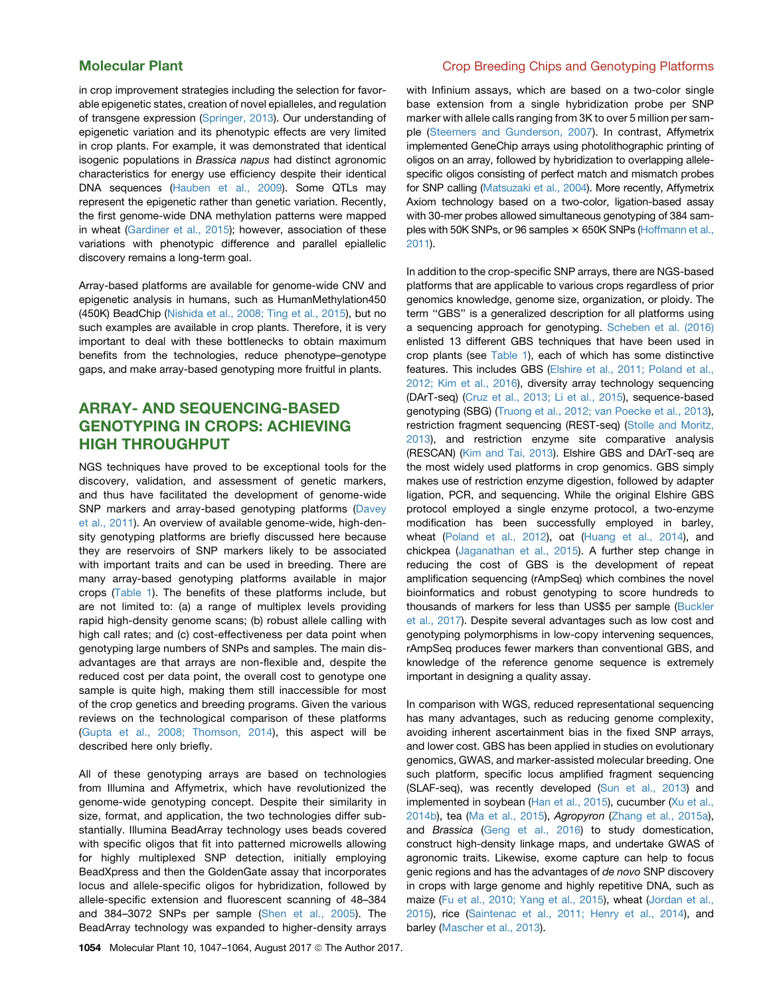in crop improvement strategies including the selection for favorable epigenetic states, creation of novel epialleles, and regulation of transgene expression [\(Springer, 2013](#page-16-0)). Our understanding of epigenetic variation and its phenotypic effects are very limited in crop plants. For example, it was demonstrated that identical isogenic populations in *Brassica napus* had distinct agronomic characteristics for energy use efficiency despite their identical DNA sequences ([Hauben et al., 2009\)](#page-14-0). Some QTLs may represent the epigenetic rather than genetic variation. Recently, the first genome-wide DNA methylation patterns were mapped in wheat [\(Gardiner et al., 2015](#page-13-0)); however, association of these variations with phenotypic difference and parallel epiallelic discovery remains a long-term goal.

Array-based platforms are available for genome-wide CNV and epigenetic analysis in humans, such as HumanMethylation450 (450K) BeadChip [\(Nishida et al., 2008; Ting et al., 2015\)](#page-15-0), but no such examples are available in crop plants. Therefore, it is very important to deal with these bottlenecks to obtain maximum benefits from the technologies, reduce phenotype–genotype gaps, and make array-based genotyping more fruitful in plants.

# ARRAY- AND SEQUENCING-BASED GENOTYPING IN CROPS: ACHIEVING HIGH THROUGHPUT

NGS techniques have proved to be exceptional tools for the discovery, validation, and assessment of genetic markers, and thus have facilitated the development of genome-wide SNP markers and array-based genotyping platforms ([Davey](#page-13-0) [et al., 2011](#page-13-0)). An overview of available genome-wide, high-density genotyping platforms are briefly discussed here because they are reservoirs of SNP markers likely to be associated with important traits and can be used in breeding. There are many array-based genotyping platforms available in major crops ([Table 1\)](#page-3-0). The benefits of these platforms include, but are not limited to: (a) a range of multiplex levels providing rapid high-density genome scans; (b) robust allele calling with high call rates; and (c) cost-effectiveness per data point when genotyping large numbers of SNPs and samples. The main disadvantages are that arrays are non-flexible and, despite the reduced cost per data point, the overall cost to genotype one sample is quite high, making them still inaccessible for most of the crop genetics and breeding programs. Given the various reviews on the technological comparison of these platforms [\(Gupta et al., 2008; Thomson, 2014](#page-13-0)), this aspect will be described here only briefly.

All of these genotyping arrays are based on technologies from Illumina and Affymetrix, which have revolutionized the genome-wide genotyping concept. Despite their similarity in size, format, and application, the two technologies differ substantially. Illumina BeadArray technology uses beads covered with specific oligos that fit into patterned microwells allowing for highly multiplexed SNP detection, initially employing BeadXpress and then the GoldenGate assay that incorporates locus and allele-specific oligos for hybridization, followed by allele-specific extension and fluorescent scanning of 48–384 and 384–3072 SNPs per sample ([Shen et al., 2005](#page-16-0)). The BeadArray technology was expanded to higher-density arrays

# Molecular Plant Crop Breeding Chips and Genotyping Platforms

with Infinium assays, which are based on a two-color single base extension from a single hybridization probe per SNP marker with allele calls ranging from 3K to over 5 million per sample ([Steemers and Gunderson, 2007\)](#page-16-0). In contrast, Affymetrix implemented GeneChip arrays using photolithographic printing of oligos on an array, followed by hybridization to overlapping allelespecific oligos consisting of perfect match and mismatch probes for SNP calling ([Matsuzaki et al., 2004](#page-15-0)). More recently, Affymetrix Axiom technology based on a two-color, ligation-based assay with 30-mer probes allowed simultaneous genotyping of 384 samples with 50K SNPs, or 96 samples  $\times$  650K SNPs [\(Hoffmann et al.,](#page-14-0) [2011\)](#page-14-0).

In addition to the crop-specific SNP arrays, there are NGS-based platforms that are applicable to various crops regardless of prior genomics knowledge, genome size, organization, or ploidy. The term ''GBS'' is a generalized description for all platforms using a sequencing approach for genotyping. [Scheben et al. \(2016\)](#page-15-0) enlisted 13 different GBS techniques that have been used in crop plants (see [Table 1](#page-3-0)), each of which has some distinctive features. This includes GBS [\(Elshire et al., 2011; Poland et al.,](#page-13-0) [2012; Kim et al., 2016\)](#page-13-0), diversity array technology sequencing (DArT-seq) ([Cruz et al., 2013; Li et al., 2015\)](#page-13-0), sequence-based genotyping (SBG) [\(Truong et al., 2012; van Poecke et al., 2013\)](#page-16-0), restriction fragment sequencing (REST-seq) [\(Stolle and Moritz,](#page-16-0) [2013](#page-16-0)), and restriction enzyme site comparative analysis (RESCAN) ([Kim and Tai, 2013\)](#page-14-0). Elshire GBS and DArT-seq are the most widely used platforms in crop genomics. GBS simply makes use of restriction enzyme digestion, followed by adapter ligation, PCR, and sequencing. While the original Elshire GBS protocol employed a single enzyme protocol, a two-enzyme modification has been successfully employed in barley, wheat [\(Poland et al., 2012\)](#page-15-0), oat [\(Huang et al., 2014\)](#page-14-0), and chickpea [\(Jaganathan et al., 2015](#page-14-0)). A further step change in reducing the cost of GBS is the development of repeat amplification sequencing (rAmpSeq) which combines the novel bioinformatics and robust genotyping to score hundreds to thousands of markers for less than US\$5 per sample [\(Buckler](#page-13-0) [et al., 2017\)](#page-13-0). Despite several advantages such as low cost and genotyping polymorphisms in low-copy intervening sequences, rAmpSeq produces fewer markers than conventional GBS, and knowledge of the reference genome sequence is extremely important in designing a quality assay.

In comparison with WGS, reduced representational sequencing has many advantages, such as reducing genome complexity, avoiding inherent ascertainment bias in the fixed SNP arrays, and lower cost. GBS has been applied in studies on evolutionary genomics, GWAS, and marker-assisted molecular breeding. One such platform, specific locus amplified fragment sequencing (SLAF-seq), was recently developed ([Sun et al., 2013](#page-16-0)) and implemented in soybean [\(Han et al., 2015\)](#page-13-0), cucumber ([Xu et al.,](#page-17-0) [2014b](#page-17-0)), tea ([Ma et al., 2015\)](#page-15-0), *Agropyron* ([Zhang et al., 2015a\)](#page-17-0), and *Brassica* [\(Geng et al., 2016](#page-13-0)) to study domestication, construct high-density linkage maps, and undertake GWAS of agronomic traits. Likewise, exome capture can help to focus genic regions and has the advantages of *de novo* SNP discovery in crops with large genome and highly repetitive DNA, such as maize [\(Fu et al., 2010; Yang et al., 2015](#page-13-0)), wheat [\(Jordan et al.,](#page-14-0) [2015](#page-14-0)), rice [\(Saintenac et al., 2011; Henry et al., 2014\)](#page-15-0), and barley [\(Mascher et al., 2013](#page-15-0)).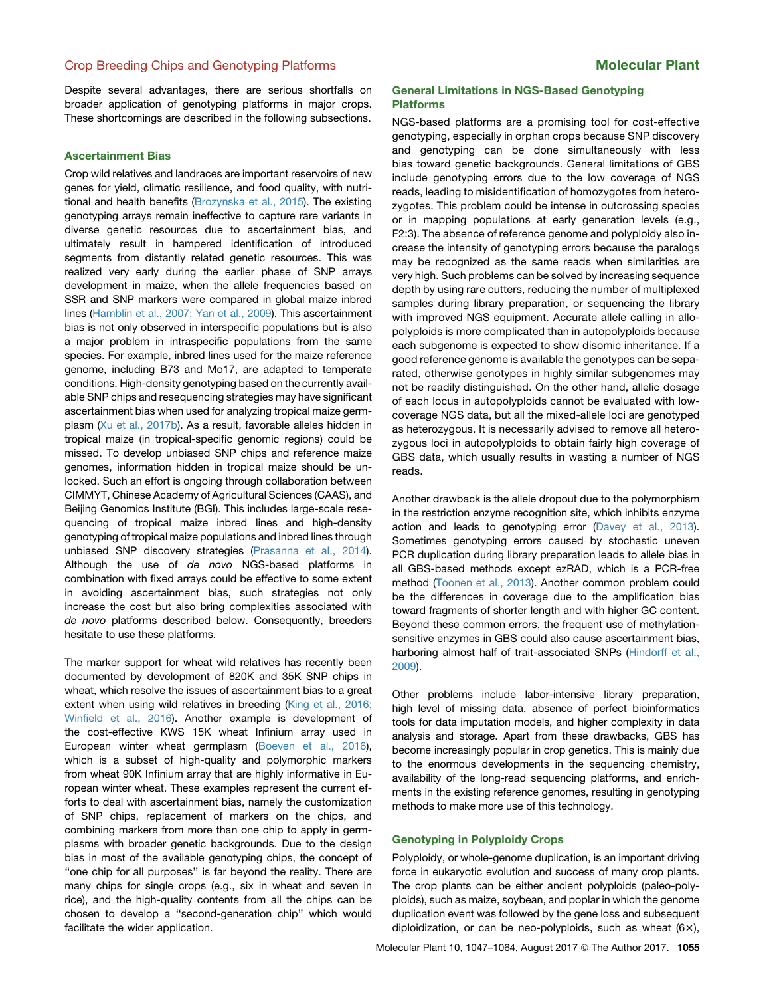Despite several advantages, there are serious shortfalls on broader application of genotyping platforms in major crops. These shortcomings are described in the following subsections.

### Ascertainment Bias

Crop wild relatives and landraces are important reservoirs of new genes for yield, climatic resilience, and food quality, with nutritional and health benefits ([Brozynska et al., 2015\)](#page-13-0). The existing genotyping arrays remain ineffective to capture rare variants in diverse genetic resources due to ascertainment bias, and ultimately result in hampered identification of introduced segments from distantly related genetic resources. This was realized very early during the earlier phase of SNP arrays development in maize, when the allele frequencies based on SSR and SNP markers were compared in global maize inbred lines ([Hamblin et al., 2007; Yan et al., 2009](#page-13-0)). This ascertainment bias is not only observed in interspecific populations but is also a major problem in intraspecific populations from the same species. For example, inbred lines used for the maize reference genome, including B73 and Mo17, are adapted to temperate conditions. High-density genotyping based on the currently available SNP chips and resequencing strategies may have significant ascertainment bias when used for analyzing tropical maize germplasm ([Xu et al., 2017b](#page-17-0)). As a result, favorable alleles hidden in tropical maize (in tropical-specific genomic regions) could be missed. To develop unbiased SNP chips and reference maize genomes, information hidden in tropical maize should be unlocked. Such an effort is ongoing through collaboration between CIMMYT, Chinese Academy of Agricultural Sciences (CAAS), and Beijing Genomics Institute (BGI). This includes large-scale resequencing of tropical maize inbred lines and high-density genotyping of tropical maize populations and inbred lines through unbiased SNP discovery strategies [\(Prasanna et al., 2014\)](#page-15-0). Although the use of *de novo* NGS-based platforms in combination with fixed arrays could be effective to some extent in avoiding ascertainment bias, such strategies not only increase the cost but also bring complexities associated with *de novo* platforms described below. Consequently, breeders hesitate to use these platforms.

The marker support for wheat wild relatives has recently been documented by development of 820K and 35K SNP chips in wheat, which resolve the issues of ascertainment bias to a great extent when using wild relatives in breeding [\(King et al., 2016;](#page-14-0) [Winfield et al., 2016](#page-14-0)). Another example is development of the cost-effective KWS 15K wheat Infinium array used in European winter wheat germplasm [\(Boeven et al., 2016\)](#page-13-0), which is a subset of high-quality and polymorphic markers from wheat 90K Infinium array that are highly informative in European winter wheat. These examples represent the current efforts to deal with ascertainment bias, namely the customization of SNP chips, replacement of markers on the chips, and combining markers from more than one chip to apply in germplasms with broader genetic backgrounds. Due to the design bias in most of the available genotyping chips, the concept of ''one chip for all purposes'' is far beyond the reality. There are many chips for single crops (e.g., six in wheat and seven in rice), and the high-quality contents from all the chips can be chosen to develop a ''second-generation chip'' which would facilitate the wider application.

### General Limitations in NGS-Based Genotyping Platforms

NGS-based platforms are a promising tool for cost-effective genotyping, especially in orphan crops because SNP discovery and genotyping can be done simultaneously with less bias toward genetic backgrounds. General limitations of GBS include genotyping errors due to the low coverage of NGS reads, leading to misidentification of homozygotes from heterozygotes. This problem could be intense in outcrossing species or in mapping populations at early generation levels (e.g., F2:3). The absence of reference genome and polyploidy also increase the intensity of genotyping errors because the paralogs may be recognized as the same reads when similarities are very high. Such problems can be solved by increasing sequence depth by using rare cutters, reducing the number of multiplexed samples during library preparation, or sequencing the library with improved NGS equipment. Accurate allele calling in allopolyploids is more complicated than in autopolyploids because each subgenome is expected to show disomic inheritance. If a good reference genome is available the genotypes can be separated, otherwise genotypes in highly similar subgenomes may not be readily distinguished. On the other hand, allelic dosage of each locus in autopolyploids cannot be evaluated with lowcoverage NGS data, but all the mixed-allele loci are genotyped as heterozygous. It is necessarily advised to remove all heterozygous loci in autopolyploids to obtain fairly high coverage of GBS data, which usually results in wasting a number of NGS reads.

Another drawback is the allele dropout due to the polymorphism in the restriction enzyme recognition site, which inhibits enzyme action and leads to genotyping error [\(Davey et al., 2013](#page-13-0)). Sometimes genotyping errors caused by stochastic uneven PCR duplication during library preparation leads to allele bias in all GBS-based methods except ezRAD, which is a PCR-free method ([Toonen et al., 2013](#page-16-0)). Another common problem could be the differences in coverage due to the amplification bias toward fragments of shorter length and with higher GC content. Beyond these common errors, the frequent use of methylationsensitive enzymes in GBS could also cause ascertainment bias, harboring almost half of trait-associated SNPs [\(Hindorff et al.,](#page-14-0) [2009](#page-14-0)).

Other problems include labor-intensive library preparation, high level of missing data, absence of perfect bioinformatics tools for data imputation models, and higher complexity in data analysis and storage. Apart from these drawbacks, GBS has become increasingly popular in crop genetics. This is mainly due to the enormous developments in the sequencing chemistry, availability of the long-read sequencing platforms, and enrichments in the existing reference genomes, resulting in genotyping methods to make more use of this technology.

### Genotyping in Polyploidy Crops

Polyploidy, or whole-genome duplication, is an important driving force in eukaryotic evolution and success of many crop plants. The crop plants can be either ancient polyploids (paleo-polyploids), such as maize, soybean, and poplar in which the genome duplication event was followed by the gene loss and subsequent diploidization, or can be neo-polyploids, such as wheat  $(6x)$ ,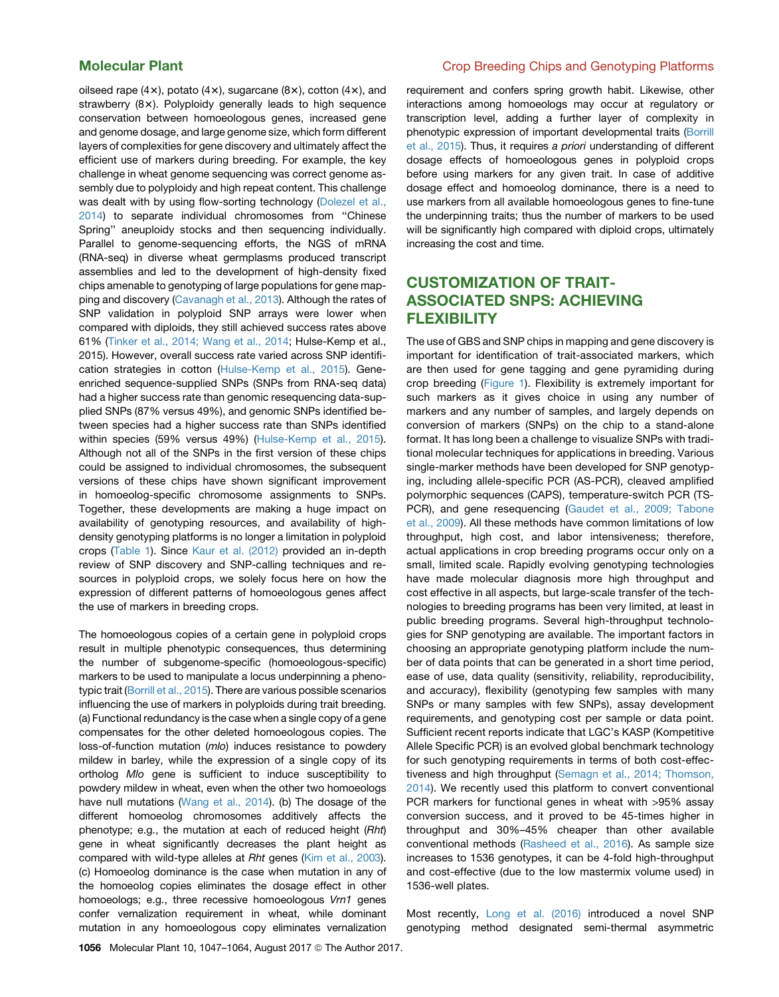oilseed rape  $(4x)$ , potato  $(4x)$ , sugarcane  $(8x)$ , cotton  $(4x)$ , and strawberry (8x). Polyploidy generally leads to high sequence conservation between homoeologous genes, increased gene and genome dosage, and large genome size, which form different layers of complexities for gene discovery and ultimately affect the efficient use of markers during breeding. For example, the key challenge in wheat genome sequencing was correct genome assembly due to polyploidy and high repeat content. This challenge was dealt with by using flow-sorting technology [\(Dolezel et al.,](#page-13-0) [2014\)](#page-13-0) to separate individual chromosomes from ''Chinese Spring'' aneuploidy stocks and then sequencing individually. Parallel to genome-sequencing efforts, the NGS of mRNA (RNA-seq) in diverse wheat germplasms produced transcript assemblies and led to the development of high-density fixed chips amenable to genotyping of large populations for gene mapping and discovery ([Cavanagh et al., 2013](#page-13-0)). Although the rates of SNP validation in polyploid SNP arrays were lower when compared with diploids, they still achieved success rates above 61% ([Tinker et al., 2014;](#page-16-0) [Wang et al., 2014](#page-17-0); Hulse-Kemp et al., 2015). However, overall success rate varied across SNP identification strategies in cotton [\(Hulse-Kemp et al., 2015](#page-14-0)). Geneenriched sequence-supplied SNPs (SNPs from RNA-seq data) had a higher success rate than genomic resequencing data-supplied SNPs (87% versus 49%), and genomic SNPs identified between species had a higher success rate than SNPs identified within species (59% versus 49%) ([Hulse-Kemp et al., 2015](#page-14-0)). Although not all of the SNPs in the first version of these chips could be assigned to individual chromosomes, the subsequent versions of these chips have shown significant improvement in homoeolog-specific chromosome assignments to SNPs. Together, these developments are making a huge impact on availability of genotyping resources, and availability of highdensity genotyping platforms is no longer a limitation in polyploid crops [\(Table 1](#page-3-0)). Since [Kaur et al. \(2012\)](#page-14-0) provided an in-depth review of SNP discovery and SNP-calling techniques and resources in polyploid crops, we solely focus here on how the expression of different patterns of homoeologous genes affect the use of markers in breeding crops.

The homoeologous copies of a certain gene in polyploid crops result in multiple phenotypic consequences, thus determining the number of subgenome-specific (homoeologous-specific) markers to be used to manipulate a locus underpinning a phenotypic trait [\(Borrill et al., 2015](#page-13-0)). There are various possible scenarios influencing the use of markers in polyploids during trait breeding. (a) Functional redundancy is the case when a single copy of a gene compensates for the other deleted homoeologous copies. The loss-of-function mutation (*mlo*) induces resistance to powdery mildew in barley, while the expression of a single copy of its ortholog *Mlo* gene is sufficient to induce susceptibility to powdery mildew in wheat, even when the other two homoeologs have null mutations [\(Wang et al., 2014](#page-17-0)). (b) The dosage of the different homoeolog chromosomes additively affects the phenotype; e.g., the mutation at each of reduced height (*Rht*) gene in wheat significantly decreases the plant height as compared with wild-type alleles at *Rht* genes [\(Kim et al., 2003](#page-14-0)). (c) Homoeolog dominance is the case when mutation in any of the homoeolog copies eliminates the dosage effect in other homoeologs; e.g., three recessive homoeologous *Vrn1* genes confer vernalization requirement in wheat, while dominant mutation in any homoeologous copy eliminates vernalization

## Molecular Plant Crop Breeding Chips and Genotyping Platforms

requirement and confers spring growth habit. Likewise, other interactions among homoeologs may occur at regulatory or transcription level, adding a further layer of complexity in phenotypic expression of important developmental traits ([Borrill](#page-13-0) [et al., 2015](#page-13-0)). Thus, it requires *a priori* understanding of different dosage effects of homoeologous genes in polyploid crops before using markers for any given trait. In case of additive dosage effect and homoeolog dominance, there is a need to use markers from all available homoeologous genes to fine-tune the underpinning traits; thus the number of markers to be used will be significantly high compared with diploid crops, ultimately increasing the cost and time.

# CUSTOMIZATION OF TRAIT-ASSOCIATED SNPS: ACHIEVING FLEXIBILITY

The use of GBS and SNP chips in mapping and gene discovery is important for identification of trait-associated markers, which are then used for gene tagging and gene pyramiding during crop breeding [\(Figure 1](#page-5-0)). Flexibility is extremely important for such markers as it gives choice in using any number of markers and any number of samples, and largely depends on conversion of markers (SNPs) on the chip to a stand-alone format. It has long been a challenge to visualize SNPs with traditional molecular techniques for applications in breeding. Various single-marker methods have been developed for SNP genotyping, including allele-specific PCR (AS-PCR), cleaved amplified polymorphic sequences (CAPS), temperature-switch PCR (TS-PCR), and gene resequencing ([Gaudet et al., 2009; Tabone](#page-13-0) [et al., 2009\)](#page-13-0). All these methods have common limitations of low throughput, high cost, and labor intensiveness; therefore, actual applications in crop breeding programs occur only on a small, limited scale. Rapidly evolving genotyping technologies have made molecular diagnosis more high throughput and cost effective in all aspects, but large-scale transfer of the technologies to breeding programs has been very limited, at least in public breeding programs. Several high-throughput technologies for SNP genotyping are available. The important factors in choosing an appropriate genotyping platform include the number of data points that can be generated in a short time period, ease of use, data quality (sensitivity, reliability, reproducibility, and accuracy), flexibility (genotyping few samples with many SNPs or many samples with few SNPs), assay development requirements, and genotyping cost per sample or data point. Sufficient recent reports indicate that LGC's KASP (Kompetitive Allele Specific PCR) is an evolved global benchmark technology for such genotyping requirements in terms of both cost-effectiveness and high throughput ([Semagn et al., 2014; Thomson,](#page-16-0) [2014\)](#page-16-0). We recently used this platform to convert conventional PCR markers for functional genes in wheat with >95% assay conversion success, and it proved to be 45-times higher in throughput and 30%–45% cheaper than other available conventional methods [\(Rasheed et al., 2016](#page-15-0)). As sample size increases to 1536 genotypes, it can be 4-fold high-throughput and cost-effective (due to the low mastermix volume used) in 1536-well plates.

Most recently, [Long et al. \(2016\)](#page-15-0) introduced a novel SNP genotyping method designated semi-thermal asymmetric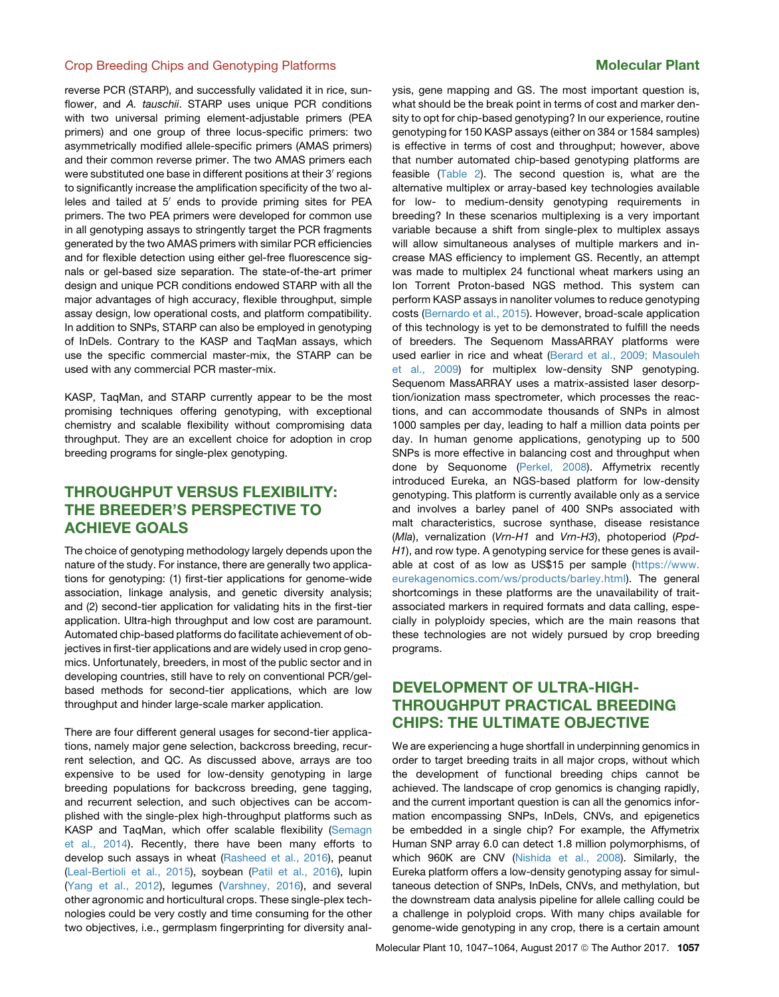reverse PCR (STARP), and successfully validated it in rice, sunflower, and *A. tauschii*. STARP uses unique PCR conditions with two universal priming element-adjustable primers (PEA primers) and one group of three locus-specific primers: two asymmetrically modified allele-specific primers (AMAS primers) and their common reverse primer. The two AMAS primers each were substituted one base in different positions at their 3' regions to significantly increase the amplification specificity of the two alleles and tailed at  $5'$  ends to provide priming sites for PEA primers. The two PEA primers were developed for common use in all genotyping assays to stringently target the PCR fragments generated by the two AMAS primers with similar PCR efficiencies and for flexible detection using either gel-free fluorescence signals or gel-based size separation. The state-of-the-art primer design and unique PCR conditions endowed STARP with all the major advantages of high accuracy, flexible throughput, simple assay design, low operational costs, and platform compatibility. In addition to SNPs, STARP can also be employed in genotyping of InDels. Contrary to the KASP and TaqMan assays, which use the specific commercial master-mix, the STARP can be used with any commercial PCR master-mix.

KASP, TaqMan, and STARP currently appear to be the most promising techniques offering genotyping, with exceptional chemistry and scalable flexibility without compromising data throughput. They are an excellent choice for adoption in crop breeding programs for single-plex genotyping.

# THROUGHPUT VERSUS FLEXIBILITY: THE BREEDER'S PERSPECTIVE TO ACHIEVE GOALS

The choice of genotyping methodology largely depends upon the nature of the study. For instance, there are generally two applications for genotyping: (1) first-tier applications for genome-wide association, linkage analysis, and genetic diversity analysis; and (2) second-tier application for validating hits in the first-tier application. Ultra-high throughput and low cost are paramount. Automated chip-based platforms do facilitate achievement of objectives in first-tier applications and are widely used in crop genomics. Unfortunately, breeders, in most of the public sector and in developing countries, still have to rely on conventional PCR/gelbased methods for second-tier applications, which are low throughput and hinder large-scale marker application.

There are four different general usages for second-tier applications, namely major gene selection, backcross breeding, recurrent selection, and QC. As discussed above, arrays are too expensive to be used for low-density genotyping in large breeding populations for backcross breeding, gene tagging, and recurrent selection, and such objectives can be accomplished with the single-plex high-throughput platforms such as KASP and TaqMan, which offer scalable flexibility ([Semagn](#page-16-0) [et al., 2014](#page-16-0)). Recently, there have been many efforts to develop such assays in wheat ([Rasheed et al., 2016\)](#page-15-0), peanut ([Leal-Bertioli et al., 2015\)](#page-14-0), soybean ([Patil et al., 2016](#page-15-0)), lupin ([Yang et al., 2012](#page-17-0)), legumes ([Varshney, 2016](#page-17-0)), and several other agronomic and horticultural crops. These single-plex technologies could be very costly and time consuming for the other two objectives, i.e., germplasm fingerprinting for diversity analysis, gene mapping and GS. The most important question is, what should be the break point in terms of cost and marker density to opt for chip-based genotyping? In our experience, routine genotyping for 150 KASP assays (either on 384 or 1584 samples) is effective in terms of cost and throughput; however, above that number automated chip-based genotyping platforms are feasible ([Table 2\)](#page-11-0). The second question is, what are the alternative multiplex or array-based key technologies available for low- to medium-density genotyping requirements in breeding? In these scenarios multiplexing is a very important variable because a shift from single-plex to multiplex assays will allow simultaneous analyses of multiple markers and increase MAS efficiency to implement GS. Recently, an attempt was made to multiplex 24 functional wheat markers using an Ion Torrent Proton-based NGS method. This system can perform KASP assays in nanoliter volumes to reduce genotyping costs ([Bernardo et al., 2015\)](#page-12-0). However, broad-scale application of this technology is yet to be demonstrated to fulfill the needs of breeders. The Sequenom MassARRAY platforms were used earlier in rice and wheat [\(Berard et al., 2009; Masouleh](#page-12-0) [et al., 2009](#page-12-0)) for multiplex low-density SNP genotyping. Sequenom MassARRAY uses a matrix-assisted laser desorption/ionization mass spectrometer, which processes the reactions, and can accommodate thousands of SNPs in almost 1000 samples per day, leading to half a million data points per day. In human genome applications, genotyping up to 500 SNPs is more effective in balancing cost and throughput when done by Sequonome [\(Perkel, 2008](#page-15-0)). Affymetrix recently introduced Eureka, an NGS-based platform for low-density genotyping. This platform is currently available only as a service and involves a barley panel of 400 SNPs associated with malt characteristics, sucrose synthase, disease resistance (*Mla*), vernalization (*Vrn-H1* and *Vrn-H3*), photoperiod (*Ppd-H1*), and row type. A genotyping service for these genes is available at cost of as low as US\$15 per sample [\(https://www.](https://www.eurekagenomics.com/ws/products/barley.html) [eurekagenomics.com/ws/products/barley.html\)](https://www.eurekagenomics.com/ws/products/barley.html). The general shortcomings in these platforms are the unavailability of traitassociated markers in required formats and data calling, especially in polyploidy species, which are the main reasons that these technologies are not widely pursued by crop breeding programs.

# DEVELOPMENT OF ULTRA-HIGH-THROUGHPUT PRACTICAL BREEDING CHIPS: THE ULTIMATE OBJECTIVE

We are experiencing a huge shortfall in underpinning genomics in order to target breeding traits in all major crops, without which the development of functional breeding chips cannot be achieved. The landscape of crop genomics is changing rapidly, and the current important question is can all the genomics information encompassing SNPs, InDels, CNVs, and epigenetics be embedded in a single chip? For example, the Affymetrix Human SNP array 6.0 can detect 1.8 million polymorphisms, of which 960K are CNV ([Nishida et al., 2008\)](#page-15-0). Similarly, the Eureka platform offers a low-density genotyping assay for simultaneous detection of SNPs, InDels, CNVs, and methylation, but the downstream data analysis pipeline for allele calling could be a challenge in polyploid crops. With many chips available for genome-wide genotyping in any crop, there is a certain amount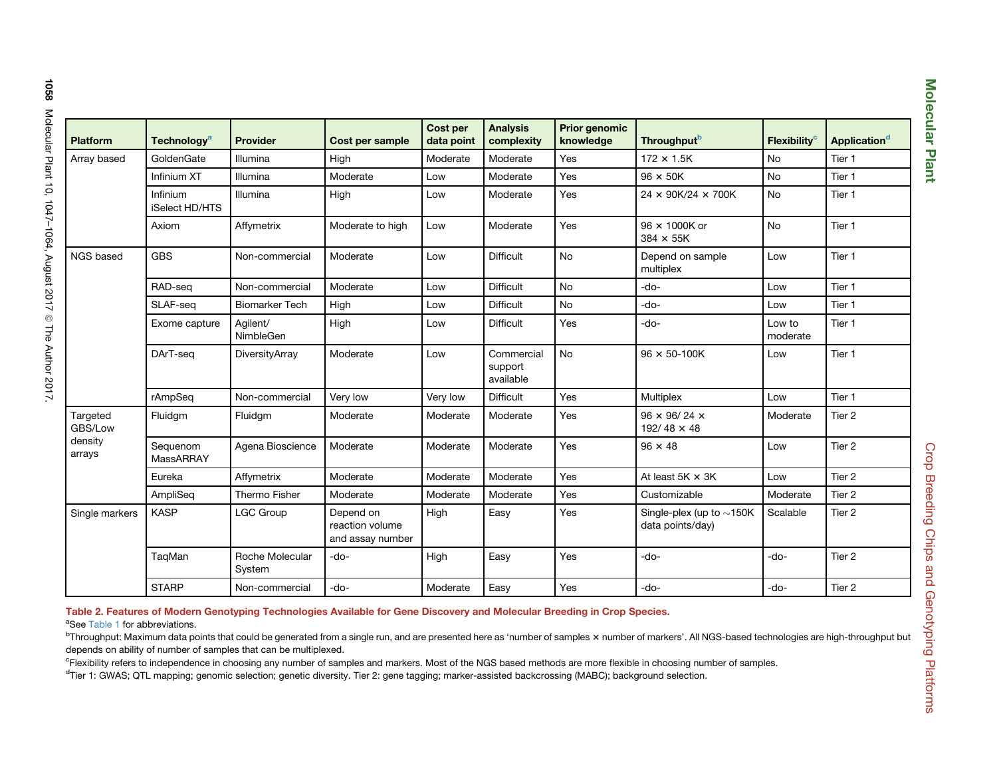<span id="page-11-0"></span>

| <b>Platform</b>                          | Technology <sup>a</sup>    | <b>Provider</b>           | Cost per sample                                  | Cost per<br>data point | <b>Analysis</b><br>complexity      | Prior genomic<br>knowledge | Throughput <sup>b</sup>                            | Flexibility <sup>c</sup> | Application <sup>d</sup> |
|------------------------------------------|----------------------------|---------------------------|--------------------------------------------------|------------------------|------------------------------------|----------------------------|----------------------------------------------------|--------------------------|--------------------------|
| Array based                              | GoldenGate                 | Illumina                  | High                                             | Moderate               | Moderate                           | Yes                        | $172 \times 1.5K$                                  | <b>No</b>                | Tier 1                   |
|                                          | Infinium XT                | Illumina                  | Moderate                                         | Low                    | Moderate                           | Yes                        | $96 \times 50K$                                    | No                       | Tier 1                   |
|                                          | Infinium<br>iSelect HD/HTS | Illumina                  | High                                             | Low                    | Moderate                           | Yes                        | 24 × 90K/24 × 700K                                 | <b>No</b>                | Tier 1                   |
|                                          | Axiom                      | Affymetrix                | Moderate to high                                 | Low                    | Moderate                           | Yes                        | 96 × 1000K or<br>384 × 55K                         | No                       | Tier 1                   |
| NGS based                                | <b>GBS</b>                 | Non-commercial            | Moderate                                         | Low                    | <b>Difficult</b>                   | No                         | Depend on sample<br>multiplex                      | Low                      | Tier 1                   |
|                                          | RAD-sea                    | Non-commercial            | Moderate                                         | Low                    | <b>Difficult</b>                   | No                         | -do-                                               | Low                      | Tier 1                   |
|                                          | SLAF-seq                   | <b>Biomarker Tech</b>     | High                                             | Low                    | <b>Difficult</b>                   | <b>No</b>                  | $-do-$                                             | Low                      | Tier 1                   |
|                                          | Exome capture              | Agilent/<br>NimbleGen     | High                                             | Low                    | <b>Difficult</b>                   | Yes                        | $-do-$                                             | Low to<br>moderate       | Tier 1                   |
|                                          | DArT-sea                   | DiversityArray            | Moderate                                         | Low                    | Commercial<br>support<br>available | <b>No</b>                  | $96 \times 50 - 100K$                              | Low                      | Tier 1                   |
|                                          | rAmpSeq                    | Non-commercial            | Very low                                         | Very low               | <b>Difficult</b>                   | Yes                        | Multiplex                                          | Low                      | Tier 1                   |
| Targeted<br>GBS/Low<br>density<br>arrays | Fluidgm                    | Fluidgm                   | Moderate                                         | Moderate               | Moderate                           | Yes                        | $96 \times 96 / 24 \times$<br>$192/48 \times 48$   | Moderate                 | Tier <sub>2</sub>        |
|                                          | Sequenom<br>MassARRAY      | Agena Bioscience          | Moderate                                         | Moderate               | Moderate                           | Yes                        | $96 \times 48$                                     | Low                      | Tier <sub>2</sub>        |
|                                          | Eureka                     | Affymetrix                | Moderate                                         | Moderate               | Moderate                           | Yes                        | At least $5K \times 3K$                            | Low                      | Tier 2                   |
|                                          | AmpliSeg                   | Thermo Fisher             | Moderate                                         | Moderate               | Moderate                           | Yes                        | Customizable                                       | Moderate                 | Tier <sub>2</sub>        |
| Single markers                           | <b>KASP</b>                | <b>LGC Group</b>          | Depend on<br>reaction volume<br>and assay number | High                   | Easy                               | Yes                        | Single-plex (up to $\sim$ 150K<br>data points/day) | Scalable                 | Tier <sub>2</sub>        |
|                                          | TaqMan                     | Roche Molecular<br>System | $-do-$                                           | High                   | Easy                               | Yes                        | -do-                                               | -do-                     | Tier <sub>2</sub>        |
|                                          | <b>STARP</b>               | Non-commercial            | -do-                                             | Moderate               | Easy                               | Yes                        | -do-                                               | -do-                     | Tier 2                   |
|                                          |                            |                           |                                                  |                        |                                    |                            |                                                    |                          |                          |

Crop Breeding Chips and Genotyping Platforms

Crop Breeding Chips and Genotyping Platforms

Table 2. Features of Modern Genotyping Technologies Available for Gene Discovery and Molecular Breeding in Crop Species.

<sup>a</sup>See [Table](#page-3-0) 1 for abbreviations.

<sup>b</sup>Throughput: Maximum data points that could be generated from a single run, and are presented here as 'number of samples x number of markers'. All NGS-based technologies are high-throughput but depends on ability of number of samples that can be multiplexed.

<sup>c</sup>Flexibility refers to independence in choosing any number of samples and markers. Most of the NGS based methods are more flexible in choosing number of samples.

<sup>d</sup>Tier 1: GWAS; QTL mapping; genomic selection; genetic diversity. Tier 2: gene tagging; marker-assisted backcrossing (MABC); background selection.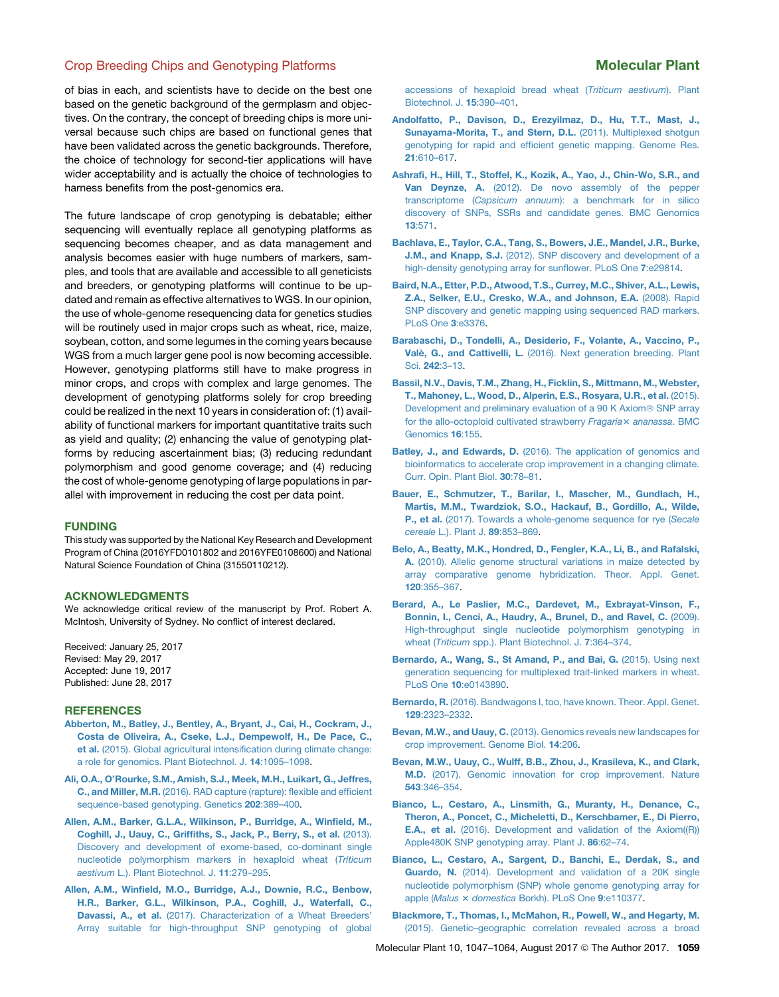<span id="page-12-0"></span>of bias in each, and scientists have to decide on the best one based on the genetic background of the germplasm and objectives. On the contrary, the concept of breeding chips is more universal because such chips are based on functional genes that have been validated across the genetic backgrounds. Therefore, the choice of technology for second-tier applications will have wider acceptability and is actually the choice of technologies to harness benefits from the post-genomics era.

The future landscape of crop genotyping is debatable; either sequencing will eventually replace all genotyping platforms as sequencing becomes cheaper, and as data management and analysis becomes easier with huge numbers of markers, samples, and tools that are available and accessible to all geneticists and breeders, or genotyping platforms will continue to be updated and remain as effective alternatives to WGS. In our opinion, the use of whole-genome resequencing data for genetics studies will be routinely used in major crops such as wheat, rice, maize, soybean, cotton, and some legumes in the coming years because WGS from a much larger gene pool is now becoming accessible. However, genotyping platforms still have to make progress in minor crops, and crops with complex and large genomes. The development of genotyping platforms solely for crop breeding could be realized in the next 10 years in consideration of: (1) availability of functional markers for important quantitative traits such as yield and quality; (2) enhancing the value of genotyping platforms by reducing ascertainment bias; (3) reducing redundant polymorphism and good genome coverage; and (4) reducing the cost of whole-genome genotyping of large populations in parallel with improvement in reducing the cost per data point.

### FUNDING

This study was supported by the National Key Research and Development Program of China (2016YFD0101802 and 2016YFE0108600) and National Natural Science Foundation of China (31550110212).

### ACKNOWLEDGMENTS

We acknowledge critical review of the manuscript by Prof. Robert A. McIntosh, University of Sydney. No conflict of interest declared.

Received: January 25, 2017 Revised: May 29, 2017 Accepted: June 19, 2017 Published: June 28, 2017

### **REFERENCES**

- [Abberton, M., Batley, J., Bentley, A., Bryant, J., Cai, H., Cockram, J.,](http://refhub.elsevier.com/S1674-2052(17)30174-0/sref1) [Costa de Oliveira, A., Cseke, L.J., Dempewolf, H., De Pace, C.,](http://refhub.elsevier.com/S1674-2052(17)30174-0/sref1) et al. [\(2015\). Global agricultural intensification during climate change:](http://refhub.elsevier.com/S1674-2052(17)30174-0/sref1) [a role for genomics. Plant Biotechnol. J.](http://refhub.elsevier.com/S1674-2052(17)30174-0/sref1) 14:1095–1098.
- [Ali, O.A., O'Rourke, S.M., Amish, S.J., Meek, M.H., Luikart, G., Jeffres,](http://refhub.elsevier.com/S1674-2052(17)30174-0/sref2) C., and Miller, M.R. [\(2016\). RAD capture \(rapture\): flexible and efficient](http://refhub.elsevier.com/S1674-2052(17)30174-0/sref2) [sequence-based genotyping. Genetics](http://refhub.elsevier.com/S1674-2052(17)30174-0/sref2) 202:389–400.
- [Allen, A.M., Barker, G.L.A., Wilkinson, P., Burridge, A., Winfield, M.,](http://refhub.elsevier.com/S1674-2052(17)30174-0/sref3) [Coghill, J., Uauy, C., Griffiths, S., Jack, P., Berry, S., et al.](http://refhub.elsevier.com/S1674-2052(17)30174-0/sref3) (2013). [Discovery and development of exome-based, co-dominant single](http://refhub.elsevier.com/S1674-2052(17)30174-0/sref3) [nucleotide polymorphism markers in hexaploid wheat \(](http://refhub.elsevier.com/S1674-2052(17)30174-0/sref3)*Triticum aestivum* [L.\). Plant Biotechnol. J.](http://refhub.elsevier.com/S1674-2052(17)30174-0/sref3) 11:279–295.
- [Allen, A.M., Winfield, M.O., Burridge, A.J., Downie, R.C., Benbow,](http://refhub.elsevier.com/S1674-2052(17)30174-0/sref4) [H.R., Barker, G.L., Wilkinson, P.A., Coghill, J., Waterfall, C.,](http://refhub.elsevier.com/S1674-2052(17)30174-0/sref4) Davassi, A., et al. [\(2017\). Characterization of a Wheat Breeders'](http://refhub.elsevier.com/S1674-2052(17)30174-0/sref4) [Array suitable for high-throughput SNP genotyping of global](http://refhub.elsevier.com/S1674-2052(17)30174-0/sref4)

[accessions of hexaploid bread wheat \(](http://refhub.elsevier.com/S1674-2052(17)30174-0/sref4)*Triticum aestivum*). Plant [Biotechnol. J.](http://refhub.elsevier.com/S1674-2052(17)30174-0/sref4) 15:390–401.

- [Andolfatto, P., Davison, D., Erezyilmaz, D., Hu, T.T., Mast, J.,](http://refhub.elsevier.com/S1674-2052(17)30174-0/sref5) [Sunayama-Morita, T., and Stern, D.L.](http://refhub.elsevier.com/S1674-2052(17)30174-0/sref5) (2011). Multiplexed shotgun [genotyping for rapid and efficient genetic mapping. Genome Res.](http://refhub.elsevier.com/S1674-2052(17)30174-0/sref5) 21[:610–617](http://refhub.elsevier.com/S1674-2052(17)30174-0/sref5).
- [Ashrafi, H., Hill, T., Stoffel, K., Kozik, A., Yao, J., Chin-Wo, S.R., and](http://refhub.elsevier.com/S1674-2052(17)30174-0/sref138) Van Deynze, A. [\(2012\). De novo assembly of the pepper](http://refhub.elsevier.com/S1674-2052(17)30174-0/sref138) transcriptome (*Capsicum annuum*[\): a benchmark for in silico](http://refhub.elsevier.com/S1674-2052(17)30174-0/sref138) [discovery of SNPs, SSRs and candidate genes. BMC Genomics](http://refhub.elsevier.com/S1674-2052(17)30174-0/sref138) 13[:571](http://refhub.elsevier.com/S1674-2052(17)30174-0/sref138).
- [Bachlava, E., Taylor, C.A., Tang, S., Bowers, J.E., Mandel, J.R., Burke,](http://refhub.elsevier.com/S1674-2052(17)30174-0/sref139) J.M., and Knapp, S.J. [\(2012\). SNP discovery and development of a](http://refhub.elsevier.com/S1674-2052(17)30174-0/sref139) [high-density genotyping array for sunflower. PLoS One](http://refhub.elsevier.com/S1674-2052(17)30174-0/sref139) 7:e29814.
- [Baird, N.A., Etter, P.D., Atwood, T.S., Currey, M.C., Shiver, A.L., Lewis,](http://refhub.elsevier.com/S1674-2052(17)30174-0/sref6) [Z.A., Selker, E.U., Cresko, W.A., and Johnson, E.A.](http://refhub.elsevier.com/S1674-2052(17)30174-0/sref6) (2008). Rapid [SNP discovery and genetic mapping using sequenced RAD markers.](http://refhub.elsevier.com/S1674-2052(17)30174-0/sref6) [PLoS One](http://refhub.elsevier.com/S1674-2052(17)30174-0/sref6) 3:e3376.
- [Barabaschi, D., Tondelli, A., Desiderio, F., Volante, A., Vaccino, P.,](http://refhub.elsevier.com/S1674-2052(17)30174-0/sref7) Valè, G., and Cattivelli, L. [\(2016\). Next generation breeding. Plant](http://refhub.elsevier.com/S1674-2052(17)30174-0/sref7) Sci. 242[:3–13.](http://refhub.elsevier.com/S1674-2052(17)30174-0/sref7)
- [Bassil, N.V., Davis, T.M., Zhang, H., Ficklin, S., Mittmann, M., Webster,](http://refhub.elsevier.com/S1674-2052(17)30174-0/sref140) [T., Mahoney, L., Wood, D., Alperin, E.S., Rosyara, U.R., et al.](http://refhub.elsevier.com/S1674-2052(17)30174-0/sref140) (2015). [Development and preliminary evaluation of a 90 K Axiom](http://refhub.elsevier.com/S1674-2052(17)30174-0/sref140)<sup>®</sup> SNP array [for the allo-octoploid cultivated strawberry](http://refhub.elsevier.com/S1674-2052(17)30174-0/sref140) *Fragaria*× ananassa. BMC [Genomics](http://refhub.elsevier.com/S1674-2052(17)30174-0/sref140) 16:155.
- Batley, J., and Edwards, D. [\(2016\). The application of genomics and](http://refhub.elsevier.com/S1674-2052(17)30174-0/sref8) [bioinformatics to accelerate crop improvement in a changing climate.](http://refhub.elsevier.com/S1674-2052(17)30174-0/sref8) [Curr. Opin. Plant Biol.](http://refhub.elsevier.com/S1674-2052(17)30174-0/sref8) 30:78–81.
- [Bauer, E., Schmutzer, T., Barilar, I., Mascher, M., Gundlach, H.,](http://refhub.elsevier.com/S1674-2052(17)30174-0/sref141) [Martis, M.M., Twardziok, S.O., Hackauf, B., Gordillo, A., Wilde,](http://refhub.elsevier.com/S1674-2052(17)30174-0/sref141) P., et al. [\(2017\). Towards a whole-genome sequence for rye \(](http://refhub.elsevier.com/S1674-2052(17)30174-0/sref141)*Secale cereale* [L.\). Plant J.](http://refhub.elsevier.com/S1674-2052(17)30174-0/sref141) 89:853–869.
- [Belo, A., Beatty, M.K., Hondred, D., Fengler, K.A., Li, B., and Rafalski,](http://refhub.elsevier.com/S1674-2052(17)30174-0/sref9) A. [\(2010\). Allelic genome structural variations in maize detected by](http://refhub.elsevier.com/S1674-2052(17)30174-0/sref9) [array comparative genome hybridization. Theor. Appl. Genet.](http://refhub.elsevier.com/S1674-2052(17)30174-0/sref9) 120[:355–367](http://refhub.elsevier.com/S1674-2052(17)30174-0/sref9).
- [Berard, A., Le Paslier, M.C., Dardevet, M., Exbrayat-Vinson, F.,](http://refhub.elsevier.com/S1674-2052(17)30174-0/sref10) [Bonnin, I., Cenci, A., Haudry, A., Brunel, D., and Ravel, C.](http://refhub.elsevier.com/S1674-2052(17)30174-0/sref10) (2009). [High-throughput single nucleotide polymorphism genotyping in](http://refhub.elsevier.com/S1674-2052(17)30174-0/sref10) wheat (*Triticum* [spp.\). Plant Biotechnol. J.](http://refhub.elsevier.com/S1674-2052(17)30174-0/sref10) 7:364–374.
- [Bernardo, A., Wang, S., St Amand, P., and Bai, G.](http://refhub.elsevier.com/S1674-2052(17)30174-0/sref11) (2015). Using next [generation sequencing for multiplexed trait-linked markers in wheat.](http://refhub.elsevier.com/S1674-2052(17)30174-0/sref11) PLoS One 10[:e0143890.](http://refhub.elsevier.com/S1674-2052(17)30174-0/sref11)
- Bernardo, R. [\(2016\). Bandwagons I, too, have known. Theor. Appl. Genet.](http://refhub.elsevier.com/S1674-2052(17)30174-0/sref12) 129[:2323–2332.](http://refhub.elsevier.com/S1674-2052(17)30174-0/sref12)
- Bevan, M.W., and Uauy, C. [\(2013\). Genomics reveals new landscapes for](http://refhub.elsevier.com/S1674-2052(17)30174-0/sref13) [crop improvement. Genome Biol.](http://refhub.elsevier.com/S1674-2052(17)30174-0/sref13) 14:206.
- [Bevan, M.W., Uauy, C., Wulff, B.B., Zhou, J., Krasileva, K., and Clark,](http://refhub.elsevier.com/S1674-2052(17)30174-0/sref14) M.D. [\(2017\). Genomic innovation for crop improvement. Nature](http://refhub.elsevier.com/S1674-2052(17)30174-0/sref14) 543[:346–354](http://refhub.elsevier.com/S1674-2052(17)30174-0/sref14).
- [Bianco, L., Cestaro, A., Linsmith, G., Muranty, H., Denance, C.,](http://refhub.elsevier.com/S1674-2052(17)30174-0/sref15) [Theron, A., Poncet, C., Micheletti, D., Kerschbamer, E., Di Pierro,](http://refhub.elsevier.com/S1674-2052(17)30174-0/sref15) E.A., et al. [\(2016\). Development and validation of the Axiom\(\(R\)\)](http://refhub.elsevier.com/S1674-2052(17)30174-0/sref15) [Apple480K SNP genotyping array. Plant J.](http://refhub.elsevier.com/S1674-2052(17)30174-0/sref15) 86:62–74.
- [Bianco, L., Cestaro, A., Sargent, D., Banchi, E., Derdak, S., and](http://refhub.elsevier.com/S1674-2052(17)30174-0/sref16) Guardo, N. [\(2014\). Development and validation of a 20K single](http://refhub.elsevier.com/S1674-2052(17)30174-0/sref16) [nucleotide polymorphism \(SNP\) whole genome genotyping array for](http://refhub.elsevier.com/S1674-2052(17)30174-0/sref16) [apple \(](http://refhub.elsevier.com/S1674-2052(17)30174-0/sref16)*Malus* × *domestica* Borkh). PLoS One 9:e110[3](http://refhub.elsevier.com/S1674-2052(17)30174-0/sref16)77.
- [Blackmore, T., Thomas, I., McMahon, R., Powell, W., and Hegarty, M.](http://refhub.elsevier.com/S1674-2052(17)30174-0/sref17) [\(2015\). Genetic–geographic correlation revealed across a broad](http://refhub.elsevier.com/S1674-2052(17)30174-0/sref17)

Molecular Plant 10, 1047-1064, August 2017 © The Author 2017. 1059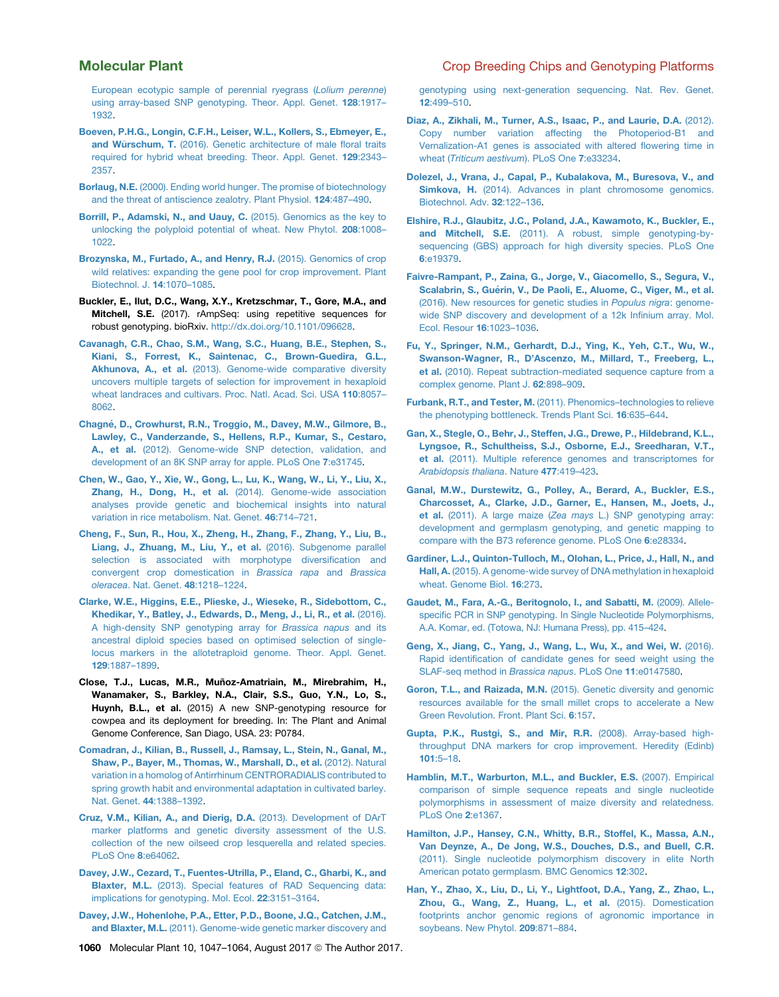[European ecotypic sample of perennial ryegrass \(](http://refhub.elsevier.com/S1674-2052(17)30174-0/sref17)*Lolium perenne*) [using array-based SNP genotyping. Theor. Appl. Genet.](http://refhub.elsevier.com/S1674-2052(17)30174-0/sref17) 128:1917– [1932.](http://refhub.elsevier.com/S1674-2052(17)30174-0/sref17)

- [Boeven, P.H.G., Longin, C.F.H., Leiser, W.L., Kollers, S., Ebmeyer, E.,](http://refhub.elsevier.com/S1674-2052(17)30174-0/sref18) [and W](http://refhub.elsevier.com/S1674-2052(17)30174-0/sref18)ürschum, T. [\(2016\). Genetic architecture of male floral traits](http://refhub.elsevier.com/S1674-2052(17)30174-0/sref18) [required for hybrid wheat breeding. Theor. Appl. Genet.](http://refhub.elsevier.com/S1674-2052(17)30174-0/sref18) 129:2343– [2357.](http://refhub.elsevier.com/S1674-2052(17)30174-0/sref18)
- Borlaug, N.E. [\(2000\). Ending world hunger. The promise of biotechnology](http://refhub.elsevier.com/S1674-2052(17)30174-0/sref19) [and the threat of antiscience zealotry. Plant Physiol.](http://refhub.elsevier.com/S1674-2052(17)30174-0/sref19) 124:487–490.
- [Borrill, P., Adamski, N., and Uauy, C.](http://refhub.elsevier.com/S1674-2052(17)30174-0/sref20) (2015). Genomics as the key to [unlocking the polyploid potential of wheat. New Phytol.](http://refhub.elsevier.com/S1674-2052(17)30174-0/sref20) 208:1008– [1022.](http://refhub.elsevier.com/S1674-2052(17)30174-0/sref20)
- [Brozynska, M., Furtado, A., and Henry, R.J.](http://refhub.elsevier.com/S1674-2052(17)30174-0/sref21) (2015). Genomics of crop [wild relatives: expanding the gene pool for crop improvement. Plant](http://refhub.elsevier.com/S1674-2052(17)30174-0/sref21) [Biotechnol. J.](http://refhub.elsevier.com/S1674-2052(17)30174-0/sref21) 14:1070–1085.
- Buckler, E., Ilut, D.C., Wang, X.Y., Kretzschmar, T., Gore, M.A., and Mitchell, S.E. (2017). rAmpSeq: using repetitive sequences for robust genotyping. bioRxiv. <http://dx.doi.org/10.1101/096628>.
- [Cavanagh, C.R., Chao, S.M., Wang, S.C., Huang, B.E., Stephen, S.,](http://refhub.elsevier.com/S1674-2052(17)30174-0/sref23) [Kiani, S., Forrest, K., Saintenac, C., Brown-Guedira, G.L.,](http://refhub.elsevier.com/S1674-2052(17)30174-0/sref23) Akhunova, A., et al. [\(2013\). Genome-wide comparative diversity](http://refhub.elsevier.com/S1674-2052(17)30174-0/sref23) [uncovers multiple targets of selection for improvement in hexaploid](http://refhub.elsevier.com/S1674-2052(17)30174-0/sref23) [wheat landraces and cultivars. Proc. Natl. Acad. Sci. USA](http://refhub.elsevier.com/S1674-2052(17)30174-0/sref23) 110:8057– [8062.](http://refhub.elsevier.com/S1674-2052(17)30174-0/sref23)
- Chagné[, D., Crowhurst, R.N., Troggio, M., Davey, M.W., Gilmore, B.,](http://refhub.elsevier.com/S1674-2052(17)30174-0/sref142) [Lawley, C., Vanderzande, S., Hellens, R.P., Kumar, S., Cestaro,](http://refhub.elsevier.com/S1674-2052(17)30174-0/sref142) A., et al. [\(2012\). Genome-wide SNP detection, validation, and](http://refhub.elsevier.com/S1674-2052(17)30174-0/sref142) [development of an 8K SNP array for apple. PLoS One](http://refhub.elsevier.com/S1674-2052(17)30174-0/sref142) 7:e31745.
- [Chen, W., Gao, Y., Xie, W., Gong, L., Lu, K., Wang, W., Li, Y., Liu, X.,](http://refhub.elsevier.com/S1674-2052(17)30174-0/sref24) Zhang, H., Dong, H., et al. [\(2014\). Genome-wide association](http://refhub.elsevier.com/S1674-2052(17)30174-0/sref24) [analyses provide genetic and biochemical insights into natural](http://refhub.elsevier.com/S1674-2052(17)30174-0/sref24) [variation in rice metabolism. Nat. Genet.](http://refhub.elsevier.com/S1674-2052(17)30174-0/sref24) 46:714–721.
- [Cheng, F., Sun, R., Hou, X., Zheng, H., Zhang, F., Zhang, Y., Liu, B.,](http://refhub.elsevier.com/S1674-2052(17)30174-0/sref143) [Liang, J., Zhuang, M., Liu, Y., et al.](http://refhub.elsevier.com/S1674-2052(17)30174-0/sref143) (2016). Subgenome parallel [selection is associated with morphotype diversification and](http://refhub.elsevier.com/S1674-2052(17)30174-0/sref143) [convergent crop domestication in](http://refhub.elsevier.com/S1674-2052(17)30174-0/sref143) *Brassica rapa* and *Brassica oleracea*[. Nat. Genet.](http://refhub.elsevier.com/S1674-2052(17)30174-0/sref143) 48:1218–1224.
- [Clarke, W.E., Higgins, E.E., Plieske, J., Wieseke, R., Sidebottom, C.,](http://refhub.elsevier.com/S1674-2052(17)30174-0/sref25) [Khedikar, Y., Batley, J., Edwards, D., Meng, J., Li, R., et al.](http://refhub.elsevier.com/S1674-2052(17)30174-0/sref25) (2016). [A high-density SNP genotyping array for](http://refhub.elsevier.com/S1674-2052(17)30174-0/sref25) *Brassica napus* and its [ancestral diploid species based on optimised selection of single](http://refhub.elsevier.com/S1674-2052(17)30174-0/sref25)[locus markers in the allotetraploid genome. Theor. Appl. Genet.](http://refhub.elsevier.com/S1674-2052(17)30174-0/sref25) 129[:1887–1899](http://refhub.elsevier.com/S1674-2052(17)30174-0/sref25).
- Close, T.J., Lucas, M.R., Muñoz-Amatriain, M., Mirebrahim, H., Wanamaker, S., Barkley, N.A., Clair, S.S., Guo, Y.N., Lo, S., Huynh, B.L., et al. (2015) A new SNP-genotyping resource for cowpea and its deployment for breeding. In: The Plant and Animal Genome Conference, San Diago, USA. 23: P0784.
- [Comadran, J., Kilian, B., Russell, J., Ramsay, L., Stein, N., Ganal, M.,](http://refhub.elsevier.com/S1674-2052(17)30174-0/sref145) [Shaw, P., Bayer, M., Thomas, W., Marshall, D., et al.](http://refhub.elsevier.com/S1674-2052(17)30174-0/sref145) (2012). Natural [variation in a homolog of Antirrhinum CENTRORADIALIS contributed to](http://refhub.elsevier.com/S1674-2052(17)30174-0/sref145) [spring growth habit and environmental adaptation in cultivated barley.](http://refhub.elsevier.com/S1674-2052(17)30174-0/sref145) Nat. Genet. 44[:1388–1392.](http://refhub.elsevier.com/S1674-2052(17)30174-0/sref145)
- [Cruz, V.M., Kilian, A., and Dierig, D.A.](http://refhub.elsevier.com/S1674-2052(17)30174-0/sref26) (2013). Development of DArT [marker platforms and genetic diversity assessment of the U.S.](http://refhub.elsevier.com/S1674-2052(17)30174-0/sref26) [collection of the new oilseed crop lesquerella and related species.](http://refhub.elsevier.com/S1674-2052(17)30174-0/sref26) [PLoS One](http://refhub.elsevier.com/S1674-2052(17)30174-0/sref26) 8:e64062.
- [Davey, J.W., Cezard, T., Fuentes-Utrilla, P., Eland, C., Gharbi, K., and](http://refhub.elsevier.com/S1674-2052(17)30174-0/sref146) Blaxter, M.L. [\(2013\). Special features of RAD Sequencing data:](http://refhub.elsevier.com/S1674-2052(17)30174-0/sref146) [implications for genotyping. Mol. Ecol.](http://refhub.elsevier.com/S1674-2052(17)30174-0/sref146) 22:3151–3164.
- [Davey, J.W., Hohenlohe, P.A., Etter, P.D., Boone, J.Q., Catchen, J.M.,](http://refhub.elsevier.com/S1674-2052(17)30174-0/sref27) and Blaxter, M.L. [\(2011\). Genome-wide genetic marker discovery and](http://refhub.elsevier.com/S1674-2052(17)30174-0/sref27)

<span id="page-13-0"></span>Molecular Plant Crop Breeding Chips and Genotyping Platforms

[genotyping using next-generation sequencing. Nat. Rev. Genet.](http://refhub.elsevier.com/S1674-2052(17)30174-0/sref27) 12[:499–510](http://refhub.elsevier.com/S1674-2052(17)30174-0/sref27).

- [Diaz, A., Zikhali, M., Turner, A.S., Isaac, P., and Laurie, D.A.](http://refhub.elsevier.com/S1674-2052(17)30174-0/sref28) (2012). [Copy number variation affecting the Photoperiod-B1 and](http://refhub.elsevier.com/S1674-2052(17)30174-0/sref28) [Vernalization-A1 genes is associated with altered flowering time in](http://refhub.elsevier.com/S1674-2052(17)30174-0/sref28) wheat (*[Triticum aestivum](http://refhub.elsevier.com/S1674-2052(17)30174-0/sref28)*). PLoS One 7:e33234.
- [Dolezel, J., Vrana, J., Capal, P., Kubalakova, M., Buresova, V., and](http://refhub.elsevier.com/S1674-2052(17)30174-0/sref29) Simkova, H. [\(2014\). Advances in plant chromosome genomics.](http://refhub.elsevier.com/S1674-2052(17)30174-0/sref29) [Biotechnol. Adv.](http://refhub.elsevier.com/S1674-2052(17)30174-0/sref29) 32:122–136.
- [Elshire, R.J., Glaubitz, J.C., Poland, J.A., Kawamoto, K., Buckler, E.,](http://refhub.elsevier.com/S1674-2052(17)30174-0/sref30) and Mitchell, S.E. [\(2011\). A robust, simple genotyping-by](http://refhub.elsevier.com/S1674-2052(17)30174-0/sref30)[sequencing \(GBS\) approach for high diversity species. PLoS One](http://refhub.elsevier.com/S1674-2052(17)30174-0/sref30) 6[:e19379.](http://refhub.elsevier.com/S1674-2052(17)30174-0/sref30)
- [Faivre-Rampant, P., Zaina, G., Jorge, V., Giacomello, S., Segura, V.,](http://refhub.elsevier.com/S1674-2052(17)30174-0/sref176) Scalabrin, S., Guérin, V., De Paoli, E., Aluome, C., Viger, M., et al. [\(2016\). New resources for genetic studies in](http://refhub.elsevier.com/S1674-2052(17)30174-0/sref176) *Populus nigra*: genome[wide SNP discovery and development of a 12k Infinium array. Mol.](http://refhub.elsevier.com/S1674-2052(17)30174-0/sref176) [Ecol. Resour](http://refhub.elsevier.com/S1674-2052(17)30174-0/sref176) 16:1023–1036.
- [Fu, Y., Springer, N.M., Gerhardt, D.J., Ying, K., Yeh, C.T., Wu, W.,](http://refhub.elsevier.com/S1674-2052(17)30174-0/sref31) [Swanson-Wagner, R., D'Ascenzo, M., Millard, T., Freeberg, L.,](http://refhub.elsevier.com/S1674-2052(17)30174-0/sref31) et al. [\(2010\). Repeat subtraction-mediated sequence capture from a](http://refhub.elsevier.com/S1674-2052(17)30174-0/sref31) [complex genome. Plant J.](http://refhub.elsevier.com/S1674-2052(17)30174-0/sref31) 62:898–909.
- Furbank, R.T., and Tester, M. [\(2011\). Phenomics–technologies to relieve](http://refhub.elsevier.com/S1674-2052(17)30174-0/sref32) [the phenotyping bottleneck. Trends Plant Sci.](http://refhub.elsevier.com/S1674-2052(17)30174-0/sref32) 16:635–644.
- [Gan, X., Stegle, O., Behr, J., Steffen, J.G., Drewe, P., Hildebrand, K.L.,](http://refhub.elsevier.com/S1674-2052(17)30174-0/sref33) [Lyngsoe, R., Schultheiss, S.J., Osborne, E.J., Sreedharan, V.T.,](http://refhub.elsevier.com/S1674-2052(17)30174-0/sref33) et al. [\(2011\). Multiple reference genomes and transcriptomes for](http://refhub.elsevier.com/S1674-2052(17)30174-0/sref33) *[Arabidopsis thaliana](http://refhub.elsevier.com/S1674-2052(17)30174-0/sref33)*. Nature 477:419–423.
- [Ganal, M.W., Durstewitz, G., Polley, A., Berard, A., Buckler, E.S.,](http://refhub.elsevier.com/S1674-2052(17)30174-0/sref147) [Charcosset, A., Clarke, J.D., Garner, E., Hansen, M., Joets, J.,](http://refhub.elsevier.com/S1674-2052(17)30174-0/sref147) et al. (2011). A large maize (*Zea mays* [L.\) SNP genotyping array:](http://refhub.elsevier.com/S1674-2052(17)30174-0/sref147) [development and germplasm genotyping, and genetic mapping to](http://refhub.elsevier.com/S1674-2052(17)30174-0/sref147) [compare with the B73 reference genome. PLoS One](http://refhub.elsevier.com/S1674-2052(17)30174-0/sref147) 6:e28334.
- [Gardiner, L.J., Quinton-Tulloch, M., Olohan, L., Price, J., Hall, N., and](http://refhub.elsevier.com/S1674-2052(17)30174-0/sref34) Hall, A. [\(2015\). A genome-wide survey of DNA methylation in hexaploid](http://refhub.elsevier.com/S1674-2052(17)30174-0/sref34) [wheat. Genome Biol.](http://refhub.elsevier.com/S1674-2052(17)30174-0/sref34) 16:273.
- [Gaudet, M., Fara, A.-G., Beritognolo, I., and Sabatti, M.](http://refhub.elsevier.com/S1674-2052(17)30174-0/sref35) (2009). Allele[specific PCR in SNP genotyping. In Single Nucleotide Polymorphisms,](http://refhub.elsevier.com/S1674-2052(17)30174-0/sref35) [A.A. Komar, ed. \(Totowa, NJ: Humana Press\), pp. 415–424.](http://refhub.elsevier.com/S1674-2052(17)30174-0/sref35)
- [Geng, X., Jiang, C., Yang, J., Wang, L., Wu, X., and Wei, W.](http://refhub.elsevier.com/S1674-2052(17)30174-0/sref36) (2016). [Rapid identification of candidate genes for seed weight using the](http://refhub.elsevier.com/S1674-2052(17)30174-0/sref36) [SLAF-seq method in](http://refhub.elsevier.com/S1674-2052(17)30174-0/sref36) *Brassica napus*. PLoS One 11:e0147580.
- Goron, T.L., and Raizada, M.N. [\(2015\). Genetic diversity and genomic](http://refhub.elsevier.com/S1674-2052(17)30174-0/sref37) [resources available for the small millet crops to accelerate a New](http://refhub.elsevier.com/S1674-2052(17)30174-0/sref37) [Green Revolution. Front. Plant Sci.](http://refhub.elsevier.com/S1674-2052(17)30174-0/sref37) 6:157.
- [Gupta, P.K., Rustgi, S., and Mir, R.R.](http://refhub.elsevier.com/S1674-2052(17)30174-0/sref38) (2008). Array-based high[throughput DNA markers for crop improvement. Heredity \(Edinb\)](http://refhub.elsevier.com/S1674-2052(17)30174-0/sref38) 101[:5–18](http://refhub.elsevier.com/S1674-2052(17)30174-0/sref38).
- [Hamblin, M.T., Warburton, M.L., and Buckler, E.S.](http://refhub.elsevier.com/S1674-2052(17)30174-0/sref39) (2007). Empirical [comparison of simple sequence repeats and single nucleotide](http://refhub.elsevier.com/S1674-2052(17)30174-0/sref39) [polymorphisms in assessment of maize diversity and relatedness.](http://refhub.elsevier.com/S1674-2052(17)30174-0/sref39) [PLoS One](http://refhub.elsevier.com/S1674-2052(17)30174-0/sref39) 2:e1367.
- [Hamilton, J.P., Hansey, C.N., Whitty, B.R., Stoffel, K., Massa, A.N.,](http://refhub.elsevier.com/S1674-2052(17)30174-0/sref148) [Van Deynze, A., De Jong, W.S., Douches, D.S., and Buell, C.R.](http://refhub.elsevier.com/S1674-2052(17)30174-0/sref148) [\(2011\). Single nucleotide polymorphism discovery in elite North](http://refhub.elsevier.com/S1674-2052(17)30174-0/sref148) [American potato germplasm. BMC Genomics](http://refhub.elsevier.com/S1674-2052(17)30174-0/sref148) 12:302.
- [Han, Y., Zhao, X., Liu, D., Li, Y., Lightfoot, D.A., Yang, Z., Zhao, L.,](http://refhub.elsevier.com/S1674-2052(17)30174-0/sref40) [Zhou, G., Wang, Z., Huang, L., et al.](http://refhub.elsevier.com/S1674-2052(17)30174-0/sref40) (2015). Domestication [footprints anchor genomic regions of agronomic importance in](http://refhub.elsevier.com/S1674-2052(17)30174-0/sref40) [soybeans. New Phytol.](http://refhub.elsevier.com/S1674-2052(17)30174-0/sref40) 209:871–884.
- 1060 Molecular Plant 10, 1047-1064, August 2017 © The Author 2017.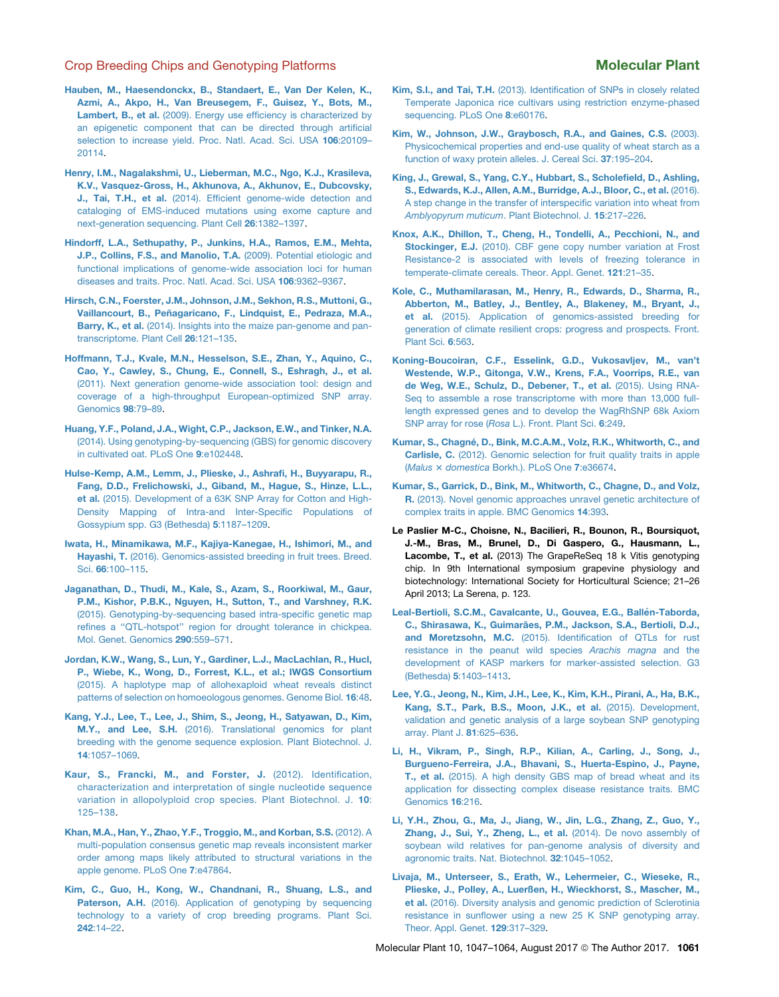- <span id="page-14-0"></span>[Hauben, M., Haesendonckx, B., Standaert, E., Van Der Kelen, K.,](http://refhub.elsevier.com/S1674-2052(17)30174-0/sref41) [Azmi, A., Akpo, H., Van Breusegem, F., Guisez, Y., Bots, M.,](http://refhub.elsevier.com/S1674-2052(17)30174-0/sref41) Lambert, B., et al. [\(2009\). Energy use efficiency is characterized by](http://refhub.elsevier.com/S1674-2052(17)30174-0/sref41) [an epigenetic component that can be directed through artificial](http://refhub.elsevier.com/S1674-2052(17)30174-0/sref41) [selection to increase yield. Proc. Natl. Acad. Sci. USA](http://refhub.elsevier.com/S1674-2052(17)30174-0/sref41) 106:20109-[20114](http://refhub.elsevier.com/S1674-2052(17)30174-0/sref41).
- [Henry, I.M., Nagalakshmi, U., Lieberman, M.C., Ngo, K.J., Krasileva,](http://refhub.elsevier.com/S1674-2052(17)30174-0/sref42) [K.V., Vasquez-Gross, H., Akhunova, A., Akhunov, E., Dubcovsky,](http://refhub.elsevier.com/S1674-2052(17)30174-0/sref42) J., Tai, T.H., et al. [\(2014\). Efficient genome-wide detection and](http://refhub.elsevier.com/S1674-2052(17)30174-0/sref42) [cataloging of EMS-induced mutations using exome capture and](http://refhub.elsevier.com/S1674-2052(17)30174-0/sref42) [next-generation sequencing. Plant Cell](http://refhub.elsevier.com/S1674-2052(17)30174-0/sref42) 26:1382–1397.
- [Hindorff, L.A., Sethupathy, P., Junkins, H.A., Ramos, E.M., Mehta,](http://refhub.elsevier.com/S1674-2052(17)30174-0/sref149) [J.P., Collins, F.S., and Manolio, T.A.](http://refhub.elsevier.com/S1674-2052(17)30174-0/sref149) (2009). Potential etiologic and [functional implications of genome-wide association loci for human](http://refhub.elsevier.com/S1674-2052(17)30174-0/sref149) [diseases and traits. Proc. Natl. Acad. Sci. USA](http://refhub.elsevier.com/S1674-2052(17)30174-0/sref149) 106:9362–9367.
- [Hirsch, C.N., Foerster, J.M., Johnson, J.M., Sekhon, R.S., Muttoni, G.,](http://refhub.elsevier.com/S1674-2052(17)30174-0/sref150) Vaillancourt, B., Peñ[agaricano, F., Lindquist, E., Pedraza, M.A.,](http://refhub.elsevier.com/S1674-2052(17)30174-0/sref150) Barry, K., et al. [\(2014\). Insights into the maize pan-genome and pan](http://refhub.elsevier.com/S1674-2052(17)30174-0/sref150)[transcriptome. Plant Cell](http://refhub.elsevier.com/S1674-2052(17)30174-0/sref150) 26:121–135.
- [Hoffmann, T.J., Kvale, M.N., Hesselson, S.E., Zhan, Y., Aquino, C.,](http://refhub.elsevier.com/S1674-2052(17)30174-0/sref43) [Cao, Y., Cawley, S., Chung, E., Connell, S., Eshragh, J., et al.](http://refhub.elsevier.com/S1674-2052(17)30174-0/sref43) [\(2011\). Next generation genome-wide association tool: design and](http://refhub.elsevier.com/S1674-2052(17)30174-0/sref43) [coverage of a high-throughput European-optimized SNP array.](http://refhub.elsevier.com/S1674-2052(17)30174-0/sref43) [Genomics](http://refhub.elsevier.com/S1674-2052(17)30174-0/sref43) 98:79–89.
- [Huang, Y.F., Poland, J.A., Wight, C.P., Jackson, E.W., and Tinker, N.A.](http://refhub.elsevier.com/S1674-2052(17)30174-0/sref44) [\(2014\). Using genotyping-by-sequencing \(GBS\) for genomic discovery](http://refhub.elsevier.com/S1674-2052(17)30174-0/sref44) [in cultivated oat. PLoS One](http://refhub.elsevier.com/S1674-2052(17)30174-0/sref44) 9:e102448.
- [Hulse-Kemp, A.M., Lemm, J., Plieske, J., Ashrafi, H., Buyyarapu, R.,](http://refhub.elsevier.com/S1674-2052(17)30174-0/sref151) [Fang, D.D., Frelichowski, J., Giband, M., Hague, S., Hinze, L.L.,](http://refhub.elsevier.com/S1674-2052(17)30174-0/sref151) et al. [\(2015\). Development of a 63K SNP Array for Cotton and High-](http://refhub.elsevier.com/S1674-2052(17)30174-0/sref151)[Density Mapping of Intra-and Inter-Specific Populations of](http://refhub.elsevier.com/S1674-2052(17)30174-0/sref151) [Gossypium spp. G3 \(Bethesda\)](http://refhub.elsevier.com/S1674-2052(17)30174-0/sref151) 5:1187–1209.
- [Iwata, H., Minamikawa, M.F., Kajiya-Kanegae, H., Ishimori, M., and](http://refhub.elsevier.com/S1674-2052(17)30174-0/sref45) Hayashi, T. [\(2016\). Genomics-assisted breeding in fruit trees. Breed.](http://refhub.elsevier.com/S1674-2052(17)30174-0/sref45) Sci. 66[:100–115](http://refhub.elsevier.com/S1674-2052(17)30174-0/sref45).
- [Jaganathan, D., Thudi, M., Kale, S., Azam, S., Roorkiwal, M., Gaur,](http://refhub.elsevier.com/S1674-2052(17)30174-0/sref46) [P.M., Kishor, P.B.K., Nguyen, H., Sutton, T., and Varshney, R.K.](http://refhub.elsevier.com/S1674-2052(17)30174-0/sref46) [\(2015\). Genotyping-by-sequencing based intra-specific genetic map](http://refhub.elsevier.com/S1674-2052(17)30174-0/sref46) [refines a ''QTL-hotspot'' region for drought tolerance in chickpea.](http://refhub.elsevier.com/S1674-2052(17)30174-0/sref46) [Mol. Genet. Genomics](http://refhub.elsevier.com/S1674-2052(17)30174-0/sref46) 290:559–571.
- [Jordan, K.W., Wang, S., Lun, Y., Gardiner, L.J., MacLachlan, R., Hucl,](http://refhub.elsevier.com/S1674-2052(17)30174-0/sref47) [P., Wiebe, K., Wong, D., Forrest, K.L., et al.; IWGS Consortium](http://refhub.elsevier.com/S1674-2052(17)30174-0/sref47) [\(2015\). A haplotype map of allohexaploid wheat reveals distinct](http://refhub.elsevier.com/S1674-2052(17)30174-0/sref47) [patterns of selection on homoeologous genomes. Genome Biol.](http://refhub.elsevier.com/S1674-2052(17)30174-0/sref47) 16:48.
- [Kang, Y.J., Lee, T., Lee, J., Shim, S., Jeong, H., Satyawan, D., Kim,](http://refhub.elsevier.com/S1674-2052(17)30174-0/sref48) M.Y., and Lee, S.H. [\(2016\). Translational genomics for plant](http://refhub.elsevier.com/S1674-2052(17)30174-0/sref48) [breeding with the genome sequence explosion. Plant Biotechnol. J.](http://refhub.elsevier.com/S1674-2052(17)30174-0/sref48) 14[:1057–1069.](http://refhub.elsevier.com/S1674-2052(17)30174-0/sref48)
- [Kaur, S., Francki, M., and Forster, J.](http://refhub.elsevier.com/S1674-2052(17)30174-0/sref49) (2012). Identification, [characterization and interpretation of single nucleotide sequence](http://refhub.elsevier.com/S1674-2052(17)30174-0/sref49) [variation in allopolyploid crop species. Plant Biotechnol. J.](http://refhub.elsevier.com/S1674-2052(17)30174-0/sref49) 10: [125–138.](http://refhub.elsevier.com/S1674-2052(17)30174-0/sref49)
- [Khan, M.A., Han, Y., Zhao, Y.F., Troggio, M., and Korban, S.S.](http://refhub.elsevier.com/S1674-2052(17)30174-0/sref152) (2012). A [multi-population consensus genetic map reveals inconsistent marker](http://refhub.elsevier.com/S1674-2052(17)30174-0/sref152) [order among maps likely attributed to structural variations in the](http://refhub.elsevier.com/S1674-2052(17)30174-0/sref152) [apple genome. PLoS One](http://refhub.elsevier.com/S1674-2052(17)30174-0/sref152) 7:e47864.
- [Kim, C., Guo, H., Kong, W., Chandnani, R., Shuang, L.S., and](http://refhub.elsevier.com/S1674-2052(17)30174-0/sref50) Paterson, A.H. [\(2016\). Application of genotyping by sequencing](http://refhub.elsevier.com/S1674-2052(17)30174-0/sref50) [technology to a variety of crop breeding programs. Plant Sci.](http://refhub.elsevier.com/S1674-2052(17)30174-0/sref50) 242[:14–22.](http://refhub.elsevier.com/S1674-2052(17)30174-0/sref50)
- Kim, S.I., and Tai, T.H. [\(2013\). Identification of SNPs in closely related](http://refhub.elsevier.com/S1674-2052(17)30174-0/sref51) [Temperate Japonica rice cultivars using restriction enzyme-phased](http://refhub.elsevier.com/S1674-2052(17)30174-0/sref51) [sequencing. PLoS One](http://refhub.elsevier.com/S1674-2052(17)30174-0/sref51) 8:e60176.
- [Kim, W., Johnson, J.W., Graybosch, R.A., and Gaines, C.S.](http://refhub.elsevier.com/S1674-2052(17)30174-0/sref52) (2003). [Physicochemical properties and end-use quality of wheat starch as a](http://refhub.elsevier.com/S1674-2052(17)30174-0/sref52) [function of waxy protein alleles. J. Cereal Sci.](http://refhub.elsevier.com/S1674-2052(17)30174-0/sref52) 37:195–204.
- [King, J., Grewal, S., Yang, C.Y., Hubbart, S., Scholefield, D., Ashling,](http://refhub.elsevier.com/S1674-2052(17)30174-0/sref53) [S., Edwards, K.J., Allen, A.M., Burridge, A.J., Bloor, C., et al.](http://refhub.elsevier.com/S1674-2052(17)30174-0/sref53) (2016). [A step change in the transfer of interspecific variation into wheat from](http://refhub.elsevier.com/S1674-2052(17)30174-0/sref53) *[Amblyopyrum muticum](http://refhub.elsevier.com/S1674-2052(17)30174-0/sref53)*. Plant Biotechnol. J. 15:217–226.
- [Knox, A.K., Dhillon, T., Cheng, H., Tondelli, A., Pecchioni, N., and](http://refhub.elsevier.com/S1674-2052(17)30174-0/sref54) Stockinger, E.J. [\(2010\). CBF gene copy number variation at Frost](http://refhub.elsevier.com/S1674-2052(17)30174-0/sref54) [Resistance-2 is associated with levels of freezing tolerance in](http://refhub.elsevier.com/S1674-2052(17)30174-0/sref54) [temperate-climate cereals. Theor. Appl. Genet.](http://refhub.elsevier.com/S1674-2052(17)30174-0/sref54) 121:21–35.
- [Kole, C., Muthamilarasan, M., Henry, R., Edwards, D., Sharma, R.,](http://refhub.elsevier.com/S1674-2052(17)30174-0/sref55) [Abberton, M., Batley, J., Bentley, A., Blakeney, M., Bryant, J.,](http://refhub.elsevier.com/S1674-2052(17)30174-0/sref55) et al. [\(2015\). Application of genomics-assisted breeding for](http://refhub.elsevier.com/S1674-2052(17)30174-0/sref55) [generation of climate resilient crops: progress and prospects. Front.](http://refhub.elsevier.com/S1674-2052(17)30174-0/sref55) [Plant Sci.](http://refhub.elsevier.com/S1674-2052(17)30174-0/sref55) 6:563.
- [Koning-Boucoiran, C.F., Esselink, G.D., Vukosavljev, M., van't](http://refhub.elsevier.com/S1674-2052(17)30174-0/sref153) [Westende, W.P., Gitonga, V.W., Krens, F.A., Voorrips, R.E., van](http://refhub.elsevier.com/S1674-2052(17)30174-0/sref153) [de Weg, W.E., Schulz, D., Debener, T., et al.](http://refhub.elsevier.com/S1674-2052(17)30174-0/sref153) (2015). Using RNA-[Seq to assemble a rose transcriptome with more than 13,000 full](http://refhub.elsevier.com/S1674-2052(17)30174-0/sref153)[length expressed genes and to develop the WagRhSNP 68k Axiom](http://refhub.elsevier.com/S1674-2052(17)30174-0/sref153) SNP array for rose (*Rosa* [L.\). Front. Plant Sci.](http://refhub.elsevier.com/S1674-2052(17)30174-0/sref153) 6:249.
- Kumar, S., Chagné[, D., Bink, M.C.A.M., Volz, R.K., Whitworth, C., and](http://refhub.elsevier.com/S1674-2052(17)30174-0/sref56) Carlisle, C. [\(2012\). Genomic selection for fruit quality traits in apple](http://refhub.elsevier.com/S1674-2052(17)30174-0/sref56) (*[Malus](http://refhub.elsevier.com/S1674-2052(17)30174-0/sref56)* [3](http://refhub.elsevier.com/S1674-2052(17)30174-0/sref56) *domestica* [Borkh.\). PLoS One](http://refhub.elsevier.com/S1674-2052(17)30174-0/sref56) 7:e36674.
- [Kumar, S., Garrick, D., Bink, M., Whitworth, C., Chagne, D., and Volz,](http://refhub.elsevier.com/S1674-2052(17)30174-0/sref57) R. [\(2013\). Novel genomic approaches unravel genetic architecture of](http://refhub.elsevier.com/S1674-2052(17)30174-0/sref57) [complex traits in apple. BMC Genomics](http://refhub.elsevier.com/S1674-2052(17)30174-0/sref57) 14:393.
- Le Paslier M-C., Choisne, N., Bacilieri, R., Bounon, R., Boursiquot, J.-M., Bras, M., Brunel, D., Di Gaspero, G., Hausmann, L., Lacombe, T., et al. (2013) The GrapeReSeq 18 k Vitis genotyping chip. In 9th International symposium grapevine physiology and biotechnology: International Society for Horticultural Science; 21–26 April 2013; La Serena, p. 123.
- Leal-Bertioli, S.C.M., Cavalcante, U., Gouvea, E.G., Ballén-Taborda, C., Shirasawa, K., Guimarã[es, P.M., Jackson, S.A., Bertioli, D.J.,](http://refhub.elsevier.com/S1674-2052(17)30174-0/sref58) and Moretzsohn, M.C. [\(2015\). Identification of QTLs for rust](http://refhub.elsevier.com/S1674-2052(17)30174-0/sref58) [resistance in the peanut wild species](http://refhub.elsevier.com/S1674-2052(17)30174-0/sref58) *Arachis magna* and the [development of KASP markers for marker-assisted selection. G3](http://refhub.elsevier.com/S1674-2052(17)30174-0/sref58) (Bethesda) 5[:1403–1413](http://refhub.elsevier.com/S1674-2052(17)30174-0/sref58).
- [Lee, Y.G., Jeong, N., Kim, J.H., Lee, K., Kim, K.H., Pirani, A., Ha, B.K.,](http://refhub.elsevier.com/S1674-2052(17)30174-0/sref154) [Kang, S.T., Park, B.S., Moon, J.K., et al.](http://refhub.elsevier.com/S1674-2052(17)30174-0/sref154) (2015). Development, [validation and genetic analysis of a large soybean SNP genotyping](http://refhub.elsevier.com/S1674-2052(17)30174-0/sref154) [array. Plant J.](http://refhub.elsevier.com/S1674-2052(17)30174-0/sref154) 81:625–636.
- [Li, H., Vikram, P., Singh, R.P., Kilian, A., Carling, J., Song, J.,](http://refhub.elsevier.com/S1674-2052(17)30174-0/sref59) [Burgueno-Ferreira, J.A., Bhavani, S., Huerta-Espino, J., Payne,](http://refhub.elsevier.com/S1674-2052(17)30174-0/sref59) T., et al. [\(2015\). A high density GBS map of bread wheat and its](http://refhub.elsevier.com/S1674-2052(17)30174-0/sref59) [application for dissecting complex disease resistance traits. BMC](http://refhub.elsevier.com/S1674-2052(17)30174-0/sref59) [Genomics](http://refhub.elsevier.com/S1674-2052(17)30174-0/sref59) 16:216.
- [Li, Y.H., Zhou, G., Ma, J., Jiang, W., Jin, L.G., Zhang, Z., Guo, Y.,](http://refhub.elsevier.com/S1674-2052(17)30174-0/sref155) [Zhang, J., Sui, Y., Zheng, L., et al.](http://refhub.elsevier.com/S1674-2052(17)30174-0/sref155) (2014). De novo assembly of [soybean wild relatives for pan-genome analysis of diversity and](http://refhub.elsevier.com/S1674-2052(17)30174-0/sref155) [agronomic traits. Nat. Biotechnol.](http://refhub.elsevier.com/S1674-2052(17)30174-0/sref155) 32:1045–1052.
- [Livaja, M., Unterseer, S., Erath, W., Lehermeier, C., Wieseke, R.,](http://refhub.elsevier.com/S1674-2052(17)30174-0/sref156) [Plieske, J., Polley, A., Luerßen, H., Wieckhorst, S., Mascher, M.,](http://refhub.elsevier.com/S1674-2052(17)30174-0/sref156) et al. [\(2016\). Diversity analysis and genomic prediction of Sclerotinia](http://refhub.elsevier.com/S1674-2052(17)30174-0/sref156) [resistance in sunflower using a new 25 K SNP genotyping array.](http://refhub.elsevier.com/S1674-2052(17)30174-0/sref156) [Theor. Appl. Genet.](http://refhub.elsevier.com/S1674-2052(17)30174-0/sref156) 129:317–329.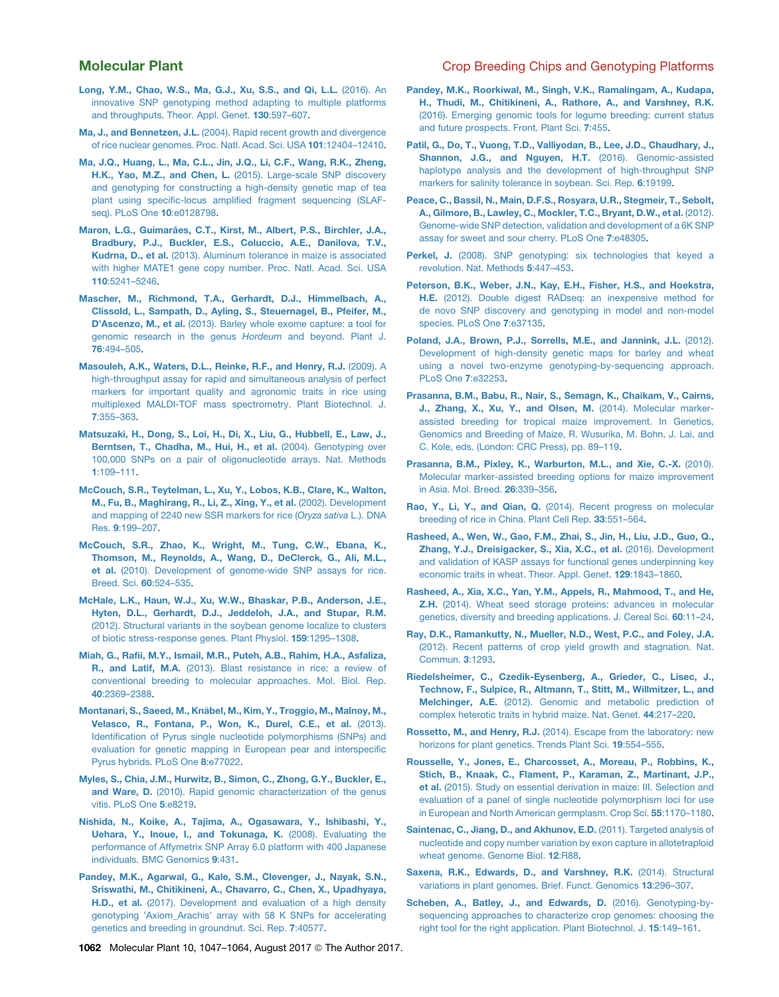- <span id="page-15-0"></span>[Long, Y.M., Chao, W.S., Ma, G.J., Xu, S.S., and Qi, L.L.](http://refhub.elsevier.com/S1674-2052(17)30174-0/sref60) (2016). An [innovative SNP genotyping method adapting to multiple platforms](http://refhub.elsevier.com/S1674-2052(17)30174-0/sref60) [and throughputs. Theor. Appl. Genet.](http://refhub.elsevier.com/S1674-2052(17)30174-0/sref60) 130:597–607.
- Ma, J., and Bennetzen, J.L. [\(2004\). Rapid recent growth and divergence](http://refhub.elsevier.com/S1674-2052(17)30174-0/sref61) [of rice nuclear genomes. Proc. Natl. Acad. Sci. USA](http://refhub.elsevier.com/S1674-2052(17)30174-0/sref61) 101:12404–12410.
- [Ma, J.Q., Huang, L., Ma, C.L., Jin, J.Q., Li, C.F., Wang, R.K., Zheng,](http://refhub.elsevier.com/S1674-2052(17)30174-0/sref62) H.K., Yao, M.Z., and Chen, L. [\(2015\). Large-scale SNP discovery](http://refhub.elsevier.com/S1674-2052(17)30174-0/sref62) [and genotyping for constructing a high-density genetic map of tea](http://refhub.elsevier.com/S1674-2052(17)30174-0/sref62) [plant using specific-locus amplified fragment sequencing \(SLAF](http://refhub.elsevier.com/S1674-2052(17)30174-0/sref62)[seq\). PLoS One](http://refhub.elsevier.com/S1674-2052(17)30174-0/sref62) 10:e0128798.
- Maron, L.G., Guimarã[es, C.T., Kirst, M., Albert, P.S., Birchler, J.A.,](http://refhub.elsevier.com/S1674-2052(17)30174-0/sref63) [Bradbury, P.J., Buckler, E.S., Coluccio, A.E., Danilova, T.V.,](http://refhub.elsevier.com/S1674-2052(17)30174-0/sref63) Kudrna, D., et al. [\(2013\). Aluminum tolerance in maize is associated](http://refhub.elsevier.com/S1674-2052(17)30174-0/sref63) [with higher MATE1 gene copy number. Proc. Natl. Acad. Sci. USA](http://refhub.elsevier.com/S1674-2052(17)30174-0/sref63) 110[:5241–5246](http://refhub.elsevier.com/S1674-2052(17)30174-0/sref63).
- [Mascher, M., Richmond, T.A., Gerhardt, D.J., Himmelbach, A.,](http://refhub.elsevier.com/S1674-2052(17)30174-0/sref64) [Clissold, L., Sampath, D., Ayling, S., Steuernagel, B., Pfeifer, M.,](http://refhub.elsevier.com/S1674-2052(17)30174-0/sref64) D'Ascenzo, M., et al. [\(2013\). Barley whole exome capture: a tool for](http://refhub.elsevier.com/S1674-2052(17)30174-0/sref64) [genomic research in the genus](http://refhub.elsevier.com/S1674-2052(17)30174-0/sref64) *Hordeum* and beyond. Plant J. 76[:494–505.](http://refhub.elsevier.com/S1674-2052(17)30174-0/sref64)
- [Masouleh, A.K., Waters, D.L., Reinke, R.F., and Henry, R.J.](http://refhub.elsevier.com/S1674-2052(17)30174-0/sref65) (2009). A [high-throughput assay for rapid and simultaneous analysis of perfect](http://refhub.elsevier.com/S1674-2052(17)30174-0/sref65) [markers for important quality and agronomic traits in rice using](http://refhub.elsevier.com/S1674-2052(17)30174-0/sref65) [multiplexed MALDI-TOF mass spectrometry. Plant Biotechnol. J.](http://refhub.elsevier.com/S1674-2052(17)30174-0/sref65) 7[:355–363.](http://refhub.elsevier.com/S1674-2052(17)30174-0/sref65)
- [Matsuzaki, H., Dong, S., Loi, H., Di, X., Liu, G., Hubbell, E., Law, J.,](http://refhub.elsevier.com/S1674-2052(17)30174-0/sref66) [Berntsen, T., Chadha, M., Hui, H., et al.](http://refhub.elsevier.com/S1674-2052(17)30174-0/sref66) (2004). Genotyping over [100,000 SNPs on a pair of oligonucleotide arrays. Nat. Methods](http://refhub.elsevier.com/S1674-2052(17)30174-0/sref66) 1[:109–111.](http://refhub.elsevier.com/S1674-2052(17)30174-0/sref66)
- [McCouch, S.R., Teytelman, L., Xu, Y., Lobos, K.B., Clare, K., Walton,](http://refhub.elsevier.com/S1674-2052(17)30174-0/sref67) [M., Fu, B., Maghirang, R., Li, Z., Xing, Y., et al.](http://refhub.elsevier.com/S1674-2052(17)30174-0/sref67) (2002). Development [and mapping of 2240 new SSR markers for rice \(](http://refhub.elsevier.com/S1674-2052(17)30174-0/sref67)*Oryza sativa* L.). DNA Res. 9[:199–207.](http://refhub.elsevier.com/S1674-2052(17)30174-0/sref67)
- [McCouch, S.R., Zhao, K., Wright, M., Tung, C.W., Ebana, K.,](http://refhub.elsevier.com/S1674-2052(17)30174-0/sref157) [Thomson, M., Reynolds, A., Wang, D., DeClerck, G., Ali, M.L.,](http://refhub.elsevier.com/S1674-2052(17)30174-0/sref157) et al. [\(2010\). Development of genome-wide SNP assays for rice.](http://refhub.elsevier.com/S1674-2052(17)30174-0/sref157) [Breed. Sci.](http://refhub.elsevier.com/S1674-2052(17)30174-0/sref157) 60:524–535.
- [McHale, L.K., Haun, W.J., Xu, W.W., Bhaskar, P.B., Anderson, J.E.,](http://refhub.elsevier.com/S1674-2052(17)30174-0/sref68) [Hyten, D.L., Gerhardt, D.J., Jeddeloh, J.A., and Stupar, R.M.](http://refhub.elsevier.com/S1674-2052(17)30174-0/sref68) [\(2012\). Structural variants in the soybean genome localize to clusters](http://refhub.elsevier.com/S1674-2052(17)30174-0/sref68) [of biotic stress-response genes. Plant Physiol.](http://refhub.elsevier.com/S1674-2052(17)30174-0/sref68) 159:1295–1308.
- [Miah, G., Rafii, M.Y., Ismail, M.R., Puteh, A.B., Rahim, H.A., Asfaliza,](http://refhub.elsevier.com/S1674-2052(17)30174-0/sref69) R., and Latif, M.A. [\(2013\). Blast resistance in rice: a review of](http://refhub.elsevier.com/S1674-2052(17)30174-0/sref69) [conventional breeding to molecular approaches. Mol. Biol. Rep.](http://refhub.elsevier.com/S1674-2052(17)30174-0/sref69) 40[:2369–2388](http://refhub.elsevier.com/S1674-2052(17)30174-0/sref69).
- [Montanari, S., Saeed, M., Kn](http://refhub.elsevier.com/S1674-2052(17)30174-0/sref158)ä[bel, M., Kim, Y., Troggio, M., Malnoy, M.,](http://refhub.elsevier.com/S1674-2052(17)30174-0/sref158) [Velasco, R., Fontana, P., Won, K., Durel, C.E., et al.](http://refhub.elsevier.com/S1674-2052(17)30174-0/sref158) (2013). [Identification of Pyrus single nucleotide polymorphisms \(SNPs\) and](http://refhub.elsevier.com/S1674-2052(17)30174-0/sref158) [evaluation for genetic mapping in European pear and interspecific](http://refhub.elsevier.com/S1674-2052(17)30174-0/sref158) [Pyrus hybrids. PLoS One](http://refhub.elsevier.com/S1674-2052(17)30174-0/sref158) 8:e77022.
- [Myles, S., Chia, J.M., Hurwitz, B., Simon, C., Zhong, G.Y., Buckler, E.,](http://refhub.elsevier.com/S1674-2052(17)30174-0/sref159) and Ware, D. [\(2010\). Rapid genomic characterization of the genus](http://refhub.elsevier.com/S1674-2052(17)30174-0/sref159) [vitis. PLoS One](http://refhub.elsevier.com/S1674-2052(17)30174-0/sref159) 5:e8219.
- [Nishida, N., Koike, A., Tajima, A., Ogasawara, Y., Ishibashi, Y.,](http://refhub.elsevier.com/S1674-2052(17)30174-0/sref70) [Uehara, Y., Inoue, I., and Tokunaga, K.](http://refhub.elsevier.com/S1674-2052(17)30174-0/sref70) (2008). Evaluating the [performance of Affymetrix SNP Array 6.0 platform with 400 Japanese](http://refhub.elsevier.com/S1674-2052(17)30174-0/sref70) [individuals. BMC Genomics](http://refhub.elsevier.com/S1674-2052(17)30174-0/sref70) 9:431.
- [Pandey, M.K., Agarwal, G., Kale, S.M., Clevenger, J., Nayak, S.N.,](http://refhub.elsevier.com/S1674-2052(17)30174-0/sref71) [Sriswathi, M., Chitikineni, A., Chavarro, C., Chen, X., Upadhyaya,](http://refhub.elsevier.com/S1674-2052(17)30174-0/sref71) H.D., et al. [\(2017\). Development and evaluation of a high density](http://refhub.elsevier.com/S1674-2052(17)30174-0/sref71) [genotyping 'Axiom\\_Arachis' array with 58 K SNPs for accelerating](http://refhub.elsevier.com/S1674-2052(17)30174-0/sref71) [genetics and breeding in groundnut. Sci. Rep.](http://refhub.elsevier.com/S1674-2052(17)30174-0/sref71) 7:40577.
- [Pandey, M.K., Roorkiwal, M., Singh, V.K., Ramalingam, A., Kudapa,](http://refhub.elsevier.com/S1674-2052(17)30174-0/sref72) [H., Thudi, M., Chitikineni, A., Rathore, A., and Varshney, R.K.](http://refhub.elsevier.com/S1674-2052(17)30174-0/sref72) [\(2016\). Emerging genomic tools for legume breeding: current status](http://refhub.elsevier.com/S1674-2052(17)30174-0/sref72) [and future prospects. Front. Plant Sci.](http://refhub.elsevier.com/S1674-2052(17)30174-0/sref72) 7:455.
- [Patil, G., Do, T., Vuong, T.D., Valliyodan, B., Lee, J.D., Chaudhary, J.,](http://refhub.elsevier.com/S1674-2052(17)30174-0/sref73) [Shannon, J.G., and Nguyen, H.T.](http://refhub.elsevier.com/S1674-2052(17)30174-0/sref73) (2016). Genomic-assisted [haplotype analysis and the development of high-throughput SNP](http://refhub.elsevier.com/S1674-2052(17)30174-0/sref73) [markers for salinity tolerance in soybean. Sci. Rep.](http://refhub.elsevier.com/S1674-2052(17)30174-0/sref73) 6:19199.
- [Peace, C., Bassil, N., Main, D.F.S., Rosyara, U.R., Stegmeir, T., Sebolt,](http://refhub.elsevier.com/S1674-2052(17)30174-0/sref161) [A., Gilmore, B., Lawley, C., Mockler, T.C., Bryant, D.W., et al.](http://refhub.elsevier.com/S1674-2052(17)30174-0/sref161) (2012). [Genome-wide SNP detection, validation and development of a 6K SNP](http://refhub.elsevier.com/S1674-2052(17)30174-0/sref161) [assay for sweet and sour cherry. PLoS One](http://refhub.elsevier.com/S1674-2052(17)30174-0/sref161) 7:e48305.
- Perkel, J. [\(2008\). SNP genotyping: six technologies that keyed a](http://refhub.elsevier.com/S1674-2052(17)30174-0/sref74) [revolution. Nat. Methods](http://refhub.elsevier.com/S1674-2052(17)30174-0/sref74) 5:447–453.
- [Peterson, B.K., Weber, J.N., Kay, E.H., Fisher, H.S., and Hoekstra,](http://refhub.elsevier.com/S1674-2052(17)30174-0/sref75) H.E. [\(2012\). Double digest RADseq: an inexpensive method for](http://refhub.elsevier.com/S1674-2052(17)30174-0/sref75) [de novo SNP discovery and genotyping in model and non-model](http://refhub.elsevier.com/S1674-2052(17)30174-0/sref75) [species. PLoS One](http://refhub.elsevier.com/S1674-2052(17)30174-0/sref75) 7:e37135.
- [Poland, J.A., Brown, P.J., Sorrells, M.E., and Jannink, J.L.](http://refhub.elsevier.com/S1674-2052(17)30174-0/sref76) (2012). [Development of high-density genetic maps for barley and wheat](http://refhub.elsevier.com/S1674-2052(17)30174-0/sref76) [using a novel two-enzyme genotyping-by-sequencing approach.](http://refhub.elsevier.com/S1674-2052(17)30174-0/sref76) [PLoS One](http://refhub.elsevier.com/S1674-2052(17)30174-0/sref76) 7:e32253.
- [Prasanna, B.M., Babu, R., Nair, S., Semagn, K., Chaikam, V., Cairns,](http://refhub.elsevier.com/S1674-2052(17)30174-0/sref162) [J., Zhang, X., Xu, Y., and Olsen, M.](http://refhub.elsevier.com/S1674-2052(17)30174-0/sref162) (2014). Molecular marker[assisted breeding for tropical maize improvement. In Genetics,](http://refhub.elsevier.com/S1674-2052(17)30174-0/sref162) [Genomics and Breeding of Maize, R. Wusurika, M. Bohn, J. Lai, and](http://refhub.elsevier.com/S1674-2052(17)30174-0/sref162) [C. Kole, eds. \(London: CRC Press\), pp. 89–119.](http://refhub.elsevier.com/S1674-2052(17)30174-0/sref162)
- [Prasanna, B.M., Pixley, K., Warburton, M.L., and Xie, C.-X.](http://refhub.elsevier.com/S1674-2052(17)30174-0/sref77) (2010). [Molecular marker-assisted breeding options for maize improvement](http://refhub.elsevier.com/S1674-2052(17)30174-0/sref77) [in Asia. Mol. Breed.](http://refhub.elsevier.com/S1674-2052(17)30174-0/sref77) 26:339–356.
- Rao, Y., Li, Y., and Qian, Q. [\(2014\). Recent progress on molecular](http://refhub.elsevier.com/S1674-2052(17)30174-0/sref78) [breeding of rice in China. Plant Cell Rep.](http://refhub.elsevier.com/S1674-2052(17)30174-0/sref78) 33:551–564.
- [Rasheed, A., Wen, W., Gao, F.M., Zhai, S., Jin, H., Liu, J.D., Guo, Q.,](http://refhub.elsevier.com/S1674-2052(17)30174-0/sref79) [Zhang, Y.J., Dreisigacker, S., Xia, X.C., et al.](http://refhub.elsevier.com/S1674-2052(17)30174-0/sref79) (2016). Development [and validation of KASP assays for functional genes underpinning key](http://refhub.elsevier.com/S1674-2052(17)30174-0/sref79) [economic traits in wheat. Theor. Appl. Genet.](http://refhub.elsevier.com/S1674-2052(17)30174-0/sref79) 129:1843–1860.
- [Rasheed, A., Xia, X.C., Yan, Y.M., Appels, R., Mahmood, T., and He,](http://refhub.elsevier.com/S1674-2052(17)30174-0/sref80) Z.H. [\(2014\). Wheat seed storage proteins: advances in molecular](http://refhub.elsevier.com/S1674-2052(17)30174-0/sref80) [genetics, diversity and breeding applications. J. Cereal Sci.](http://refhub.elsevier.com/S1674-2052(17)30174-0/sref80) 60:11–24.
- [Ray, D.K., Ramankutty, N., Mueller, N.D., West, P.C., and Foley, J.A.](http://refhub.elsevier.com/S1674-2052(17)30174-0/sref81) [\(2012\). Recent patterns of crop yield growth and stagnation. Nat.](http://refhub.elsevier.com/S1674-2052(17)30174-0/sref81) [Commun.](http://refhub.elsevier.com/S1674-2052(17)30174-0/sref81) 3:1293.
- [Riedelsheimer, C., Czedik-Eysenberg, A., Grieder, C., Lisec, J.,](http://refhub.elsevier.com/S1674-2052(17)30174-0/sref82) [Technow, F., Sulpice, R., Altmann, T., Stitt, M., Willmitzer, L., and](http://refhub.elsevier.com/S1674-2052(17)30174-0/sref82) Melchinger, A.E. [\(2012\). Genomic and metabolic prediction of](http://refhub.elsevier.com/S1674-2052(17)30174-0/sref82) [complex heterotic traits in hybrid maize. Nat. Genet.](http://refhub.elsevier.com/S1674-2052(17)30174-0/sref82) 44:217–220.
- Rossetto, M., and Henry, R.J. [\(2014\). Escape from the laboratory: new](http://refhub.elsevier.com/S1674-2052(17)30174-0/sref83) [horizons for plant genetics. Trends Plant Sci.](http://refhub.elsevier.com/S1674-2052(17)30174-0/sref83) 19:554–555.
- [Rousselle, Y., Jones, E., Charcosset, A., Moreau, P., Robbins, K.,](http://refhub.elsevier.com/S1674-2052(17)30174-0/sref163) [Stich, B., Knaak, C., Flament, P., Karaman, Z., Martinant, J.P.,](http://refhub.elsevier.com/S1674-2052(17)30174-0/sref163) et al. [\(2015\). Study on essential derivation in maize: III. Selection and](http://refhub.elsevier.com/S1674-2052(17)30174-0/sref163) [evaluation of a panel of single nucleotide polymorphism loci for use](http://refhub.elsevier.com/S1674-2052(17)30174-0/sref163) [in European and North American germplasm. Crop Sci.](http://refhub.elsevier.com/S1674-2052(17)30174-0/sref163) 55:1170–1180.
- [Saintenac, C., Jiang, D., and Akhunov, E.D.](http://refhub.elsevier.com/S1674-2052(17)30174-0/sref84) (2011). Targeted analysis of [nucleotide and copy number variation by exon capture in allotetraploid](http://refhub.elsevier.com/S1674-2052(17)30174-0/sref84) [wheat genome. Genome Biol.](http://refhub.elsevier.com/S1674-2052(17)30174-0/sref84) 12:R88.
- [Saxena, R.K., Edwards, D., and Varshney, R.K.](http://refhub.elsevier.com/S1674-2052(17)30174-0/sref85) (2014). Structural [variations in plant genomes. Brief. Funct. Genomics](http://refhub.elsevier.com/S1674-2052(17)30174-0/sref85) 13:296–307.
- [Scheben, A., Batley, J., and Edwards, D.](http://refhub.elsevier.com/S1674-2052(17)30174-0/sref86) (2016). Genotyping-by[sequencing approaches to characterize crop genomes: choosing the](http://refhub.elsevier.com/S1674-2052(17)30174-0/sref86) [right tool for the right application. Plant Biotechnol. J.](http://refhub.elsevier.com/S1674-2052(17)30174-0/sref86) 15:149–161.

1062 Molecular Plant 10, 1047-1064, August 2017 © The Author 2017.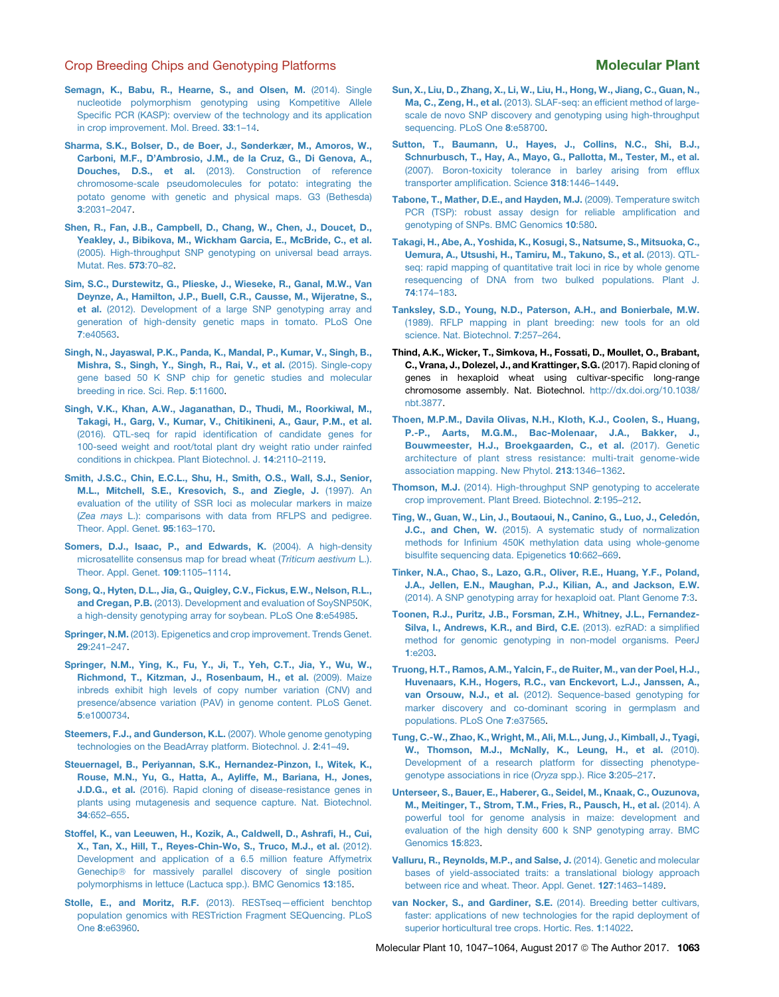- <span id="page-16-0"></span>[Semagn, K., Babu, R., Hearne, S., and Olsen, M.](http://refhub.elsevier.com/S1674-2052(17)30174-0/sref87) (2014). Single [nucleotide polymorphism genotyping using Kompetitive Allele](http://refhub.elsevier.com/S1674-2052(17)30174-0/sref87) [Specific PCR \(KASP\): overview of the technology and its application](http://refhub.elsevier.com/S1674-2052(17)30174-0/sref87) [in crop improvement. Mol. Breed.](http://refhub.elsevier.com/S1674-2052(17)30174-0/sref87) 33:1–14.
- [Sharma, S.K., Bolser, D., de Boer, J., Sønderkær, M., Amoros, W.,](http://refhub.elsevier.com/S1674-2052(17)30174-0/sref164) [Carboni, M.F., D'Ambrosio, J.M., de la Cruz, G., Di Genova, A.,](http://refhub.elsevier.com/S1674-2052(17)30174-0/sref164) Douches, D.S., et al. [\(2013\). Construction of reference](http://refhub.elsevier.com/S1674-2052(17)30174-0/sref164) [chromosome-scale pseudomolecules for potato: integrating the](http://refhub.elsevier.com/S1674-2052(17)30174-0/sref164) [potato genome with genetic and physical maps. G3 \(Bethesda\)](http://refhub.elsevier.com/S1674-2052(17)30174-0/sref164) 3[:2031–2047.](http://refhub.elsevier.com/S1674-2052(17)30174-0/sref164)
- [Shen, R., Fan, J.B., Campbell, D., Chang, W., Chen, J., Doucet, D.,](http://refhub.elsevier.com/S1674-2052(17)30174-0/sref88) [Yeakley, J., Bibikova, M., Wickham Garcia, E., McBride, C., et al.](http://refhub.elsevier.com/S1674-2052(17)30174-0/sref88) [\(2005\). High-throughput SNP genotyping on universal bead arrays.](http://refhub.elsevier.com/S1674-2052(17)30174-0/sref88) [Mutat. Res.](http://refhub.elsevier.com/S1674-2052(17)30174-0/sref88) 573:70–82.
- [Sim, S.C., Durstewitz, G., Plieske, J., Wieseke, R., Ganal, M.W., Van](http://refhub.elsevier.com/S1674-2052(17)30174-0/sref165) [Deynze, A., Hamilton, J.P., Buell, C.R., Causse, M., Wijeratne, S.,](http://refhub.elsevier.com/S1674-2052(17)30174-0/sref165) et al. [\(2012\). Development of a large SNP genotyping array and](http://refhub.elsevier.com/S1674-2052(17)30174-0/sref165) [generation of high-density genetic maps in tomato. PLoS One](http://refhub.elsevier.com/S1674-2052(17)30174-0/sref165) 7[:e40563.](http://refhub.elsevier.com/S1674-2052(17)30174-0/sref165)
- [Singh, N., Jayaswal, P.K., Panda, K., Mandal, P., Kumar, V., Singh, B.,](http://refhub.elsevier.com/S1674-2052(17)30174-0/sref166) [Mishra, S., Singh, Y., Singh, R., Rai, V., et al.](http://refhub.elsevier.com/S1674-2052(17)30174-0/sref166) (2015). Single-copy [gene based 50 K SNP chip for genetic studies and molecular](http://refhub.elsevier.com/S1674-2052(17)30174-0/sref166) [breeding in rice. Sci. Rep.](http://refhub.elsevier.com/S1674-2052(17)30174-0/sref166) 5:11600.
- [Singh, V.K., Khan, A.W., Jaganathan, D., Thudi, M., Roorkiwal, M.,](http://refhub.elsevier.com/S1674-2052(17)30174-0/sref89) [Takagi, H., Garg, V., Kumar, V., Chitikineni, A., Gaur, P.M., et al.](http://refhub.elsevier.com/S1674-2052(17)30174-0/sref89) [\(2016\). QTL-seq for rapid identification of candidate genes for](http://refhub.elsevier.com/S1674-2052(17)30174-0/sref89) [100-seed weight and root/total plant dry weight ratio under rainfed](http://refhub.elsevier.com/S1674-2052(17)30174-0/sref89) [conditions in chickpea. Plant Biotechnol. J.](http://refhub.elsevier.com/S1674-2052(17)30174-0/sref89) 14:2110–2119.
- [Smith, J.S.C., Chin, E.C.L., Shu, H., Smith, O.S., Wall, S.J., Senior,](http://refhub.elsevier.com/S1674-2052(17)30174-0/sref90) [M.L., Mitchell, S.E., Kresovich, S., and Ziegle, J.](http://refhub.elsevier.com/S1674-2052(17)30174-0/sref90) (1997). An [evaluation of the utility of SSR loci as molecular markers in maize](http://refhub.elsevier.com/S1674-2052(17)30174-0/sref90) (*Zea mays* [L.\): comparisons with data from RFLPS and pedigree.](http://refhub.elsevier.com/S1674-2052(17)30174-0/sref90) [Theor. Appl. Genet.](http://refhub.elsevier.com/S1674-2052(17)30174-0/sref90) 95:163–170.
- [Somers, D.J., Isaac, P., and Edwards, K.](http://refhub.elsevier.com/S1674-2052(17)30174-0/sref91) (2004). A high-density [microsatellite consensus map for bread wheat \(](http://refhub.elsevier.com/S1674-2052(17)30174-0/sref91)*Triticum aestivum* L.). [Theor. Appl. Genet.](http://refhub.elsevier.com/S1674-2052(17)30174-0/sref91) 109:1105–1114.
- [Song, Q., Hyten, D.L., Jia, G., Quigley, C.V., Fickus, E.W., Nelson, R.L.,](http://refhub.elsevier.com/S1674-2052(17)30174-0/sref167) and Cregan, P.B. [\(2013\). Development and evaluation of SoySNP50K,](http://refhub.elsevier.com/S1674-2052(17)30174-0/sref167) [a high-density genotyping array for soybean. PLoS One](http://refhub.elsevier.com/S1674-2052(17)30174-0/sref167) 8:e54985.
- Springer, N.M. [\(2013\). Epigenetics and crop improvement. Trends Genet.](http://refhub.elsevier.com/S1674-2052(17)30174-0/sref92) 29[:241–247.](http://refhub.elsevier.com/S1674-2052(17)30174-0/sref92)
- [Springer, N.M., Ying, K., Fu, Y., Ji, T., Yeh, C.T., Jia, Y., Wu, W.,](http://refhub.elsevier.com/S1674-2052(17)30174-0/sref93) [Richmond, T., Kitzman, J., Rosenbaum, H., et al.](http://refhub.elsevier.com/S1674-2052(17)30174-0/sref93) (2009). Maize [inbreds exhibit high levels of copy number variation \(CNV\) and](http://refhub.elsevier.com/S1674-2052(17)30174-0/sref93) [presence/absence variation \(PAV\) in genome content. PLoS Genet.](http://refhub.elsevier.com/S1674-2052(17)30174-0/sref93) 5[:e1000734.](http://refhub.elsevier.com/S1674-2052(17)30174-0/sref93)
- [Steemers, F.J., and Gunderson, K.L.](http://refhub.elsevier.com/S1674-2052(17)30174-0/sref94) (2007). Whole genome genotyping [technologies on the BeadArray platform. Biotechnol. J.](http://refhub.elsevier.com/S1674-2052(17)30174-0/sref94) 2:41–49.
- [Steuernagel, B., Periyannan, S.K., Hernandez-Pinzon, I., Witek, K.,](http://refhub.elsevier.com/S1674-2052(17)30174-0/sref95) [Rouse, M.N., Yu, G., Hatta, A., Ayliffe, M., Bariana, H., Jones,](http://refhub.elsevier.com/S1674-2052(17)30174-0/sref95) J.D.G., et al. [\(2016\). Rapid cloning of disease-resistance genes in](http://refhub.elsevier.com/S1674-2052(17)30174-0/sref95) [plants using mutagenesis and sequence capture. Nat. Biotechnol.](http://refhub.elsevier.com/S1674-2052(17)30174-0/sref95) 34[:652–655.](http://refhub.elsevier.com/S1674-2052(17)30174-0/sref95)
- [Stoffel, K., van Leeuwen, H., Kozik, A., Caldwell, D., Ashrafi, H., Cui,](http://refhub.elsevier.com/S1674-2052(17)30174-0/sref175) [X., Tan, X., Hill, T., Reyes-Chin-Wo, S., Truco, M.J., et al.](http://refhub.elsevier.com/S1674-2052(17)30174-0/sref175) (2012). [Development and application of a 6.5 million feature Affymetrix](http://refhub.elsevier.com/S1674-2052(17)30174-0/sref175) Genechip<sup>®</sup> [for massively parallel discovery of single position](http://refhub.elsevier.com/S1674-2052(17)30174-0/sref175) [polymorphisms in lettuce \(Lactuca spp.\). BMC Genomics](http://refhub.elsevier.com/S1674-2052(17)30174-0/sref175) 13:185.
- Stolle, E., and Moritz, R.F. (2013). RESTseq-efficient benchtop [population genomics with RESTriction Fragment SEQuencing. PLoS](http://refhub.elsevier.com/S1674-2052(17)30174-0/sref96) One 8[:e63960.](http://refhub.elsevier.com/S1674-2052(17)30174-0/sref96)
- [Sun, X., Liu, D., Zhang, X., Li, W., Liu, H., Hong, W., Jiang, C., Guan, N.,](http://refhub.elsevier.com/S1674-2052(17)30174-0/sref97) Ma, C., Zeng, H., et al. [\(2013\). SLAF-seq: an efficient method of large](http://refhub.elsevier.com/S1674-2052(17)30174-0/sref97)[scale de novo SNP discovery and genotyping using high-throughput](http://refhub.elsevier.com/S1674-2052(17)30174-0/sref97) [sequencing. PLoS One](http://refhub.elsevier.com/S1674-2052(17)30174-0/sref97) 8:e58700.
- [Sutton, T., Baumann, U., Hayes, J., Collins, N.C., Shi, B.J.,](http://refhub.elsevier.com/S1674-2052(17)30174-0/sref98) [Schnurbusch, T., Hay, A., Mayo, G., Pallotta, M., Tester, M., et al.](http://refhub.elsevier.com/S1674-2052(17)30174-0/sref98) [\(2007\). Boron-toxicity tolerance in barley arising from efflux](http://refhub.elsevier.com/S1674-2052(17)30174-0/sref98) [transporter amplification. Science](http://refhub.elsevier.com/S1674-2052(17)30174-0/sref98) 318:1446–1449.
- [Tabone, T., Mather, D.E., and Hayden, M.J.](http://refhub.elsevier.com/S1674-2052(17)30174-0/sref99) (2009). Temperature switch [PCR \(TSP\): robust assay design for reliable amplification and](http://refhub.elsevier.com/S1674-2052(17)30174-0/sref99) [genotyping of SNPs. BMC Genomics](http://refhub.elsevier.com/S1674-2052(17)30174-0/sref99) 10:580.
- [Takagi, H., Abe, A., Yoshida, K., Kosugi, S., Natsume, S., Mitsuoka, C.,](http://refhub.elsevier.com/S1674-2052(17)30174-0/sref100) [Uemura, A., Utsushi, H., Tamiru, M., Takuno, S., et al.](http://refhub.elsevier.com/S1674-2052(17)30174-0/sref100) (2013). QTL[seq: rapid mapping of quantitative trait loci in rice by whole genome](http://refhub.elsevier.com/S1674-2052(17)30174-0/sref100) [resequencing of DNA from two bulked populations. Plant J.](http://refhub.elsevier.com/S1674-2052(17)30174-0/sref100) 74[:174–183](http://refhub.elsevier.com/S1674-2052(17)30174-0/sref100).
- [Tanksley, S.D., Young, N.D., Paterson, A.H., and Bonierbale, M.W.](http://refhub.elsevier.com/S1674-2052(17)30174-0/sref101) [\(1989\). RFLP mapping in plant breeding: new tools for an old](http://refhub.elsevier.com/S1674-2052(17)30174-0/sref101) [science. Nat. Biotechnol.](http://refhub.elsevier.com/S1674-2052(17)30174-0/sref101) 7:257–264.
- Thind, A.K., Wicker, T., Simkova, H., Fossati, D., Moullet, O., Brabant, C., Vrana, J., Dolezel, J., and Krattinger, S.G. (2017). Rapid cloning of genes in hexaploid wheat using cultivar-specific long-range chromosome assembly. Nat. Biotechnol. [http://dx.doi.org/10.1038/](http://dx.doi.org/10.1038/nbt.3877) [nbt.3877.](http://dx.doi.org/10.1038/nbt.3877)
- [Thoen, M.P.M., Davila Olivas, N.H., Kloth, K.J., Coolen, S., Huang,](http://refhub.elsevier.com/S1674-2052(17)30174-0/sref103) [P.-P., Aarts, M.G.M., Bac-Molenaar, J.A., Bakker, J.,](http://refhub.elsevier.com/S1674-2052(17)30174-0/sref103) [Bouwmeester, H.J., Broekgaarden, C., et al.](http://refhub.elsevier.com/S1674-2052(17)30174-0/sref103) (2017). Genetic [architecture of plant stress resistance: multi-trait genome-wide](http://refhub.elsevier.com/S1674-2052(17)30174-0/sref103) [association mapping. New Phytol.](http://refhub.elsevier.com/S1674-2052(17)30174-0/sref103) 213:1346–1362.
- Thomson, M.J. [\(2014\). High-throughput SNP genotyping to accelerate](http://refhub.elsevier.com/S1674-2052(17)30174-0/sref104) [crop improvement. Plant Breed. Biotechnol.](http://refhub.elsevier.com/S1674-2052(17)30174-0/sref104) 2:195–212.
- Ting, W., Guan, W., Lin, J., Boutaoui, N., Canino, G., Luo, J., Celedón, J.C., and Chen, W. [\(2015\). A systematic study of normalization](http://refhub.elsevier.com/S1674-2052(17)30174-0/sref105) [methods for Infinium 450K methylation data using whole-genome](http://refhub.elsevier.com/S1674-2052(17)30174-0/sref105) [bisulfite sequencing data. Epigenetics](http://refhub.elsevier.com/S1674-2052(17)30174-0/sref105) 10:662–669.
- [Tinker, N.A., Chao, S., Lazo, G.R., Oliver, R.E., Huang, Y.F., Poland,](http://refhub.elsevier.com/S1674-2052(17)30174-0/sref168) [J.A., Jellen, E.N., Maughan, P.J., Kilian, A., and Jackson, E.W.](http://refhub.elsevier.com/S1674-2052(17)30174-0/sref168) [\(2014\). A SNP genotyping array for hexaploid oat. Plant Genome](http://refhub.elsevier.com/S1674-2052(17)30174-0/sref168) 7:3.
- [Toonen, R.J., Puritz, J.B., Forsman, Z.H., Whitney, J.L., Fernandez-](http://refhub.elsevier.com/S1674-2052(17)30174-0/sref106)[Silva, I., Andrews, K.R., and Bird, C.E.](http://refhub.elsevier.com/S1674-2052(17)30174-0/sref106) (2013). ezRAD: a simplified [method for genomic genotyping in non-model organisms. PeerJ](http://refhub.elsevier.com/S1674-2052(17)30174-0/sref106) 1[:e203.](http://refhub.elsevier.com/S1674-2052(17)30174-0/sref106)
- [Truong, H.T., Ramos, A.M., Yalcin, F., de Ruiter, M., van der Poel, H.J.,](http://refhub.elsevier.com/S1674-2052(17)30174-0/sref107) [Huvenaars, K.H., Hogers, R.C., van Enckevort, L.J., Janssen, A.,](http://refhub.elsevier.com/S1674-2052(17)30174-0/sref107) van Orsouw, N.J., et al. [\(2012\). Sequence-based genotyping for](http://refhub.elsevier.com/S1674-2052(17)30174-0/sref107) [marker discovery and co-dominant scoring in germplasm and](http://refhub.elsevier.com/S1674-2052(17)30174-0/sref107) [populations. PLoS One](http://refhub.elsevier.com/S1674-2052(17)30174-0/sref107) 7:e37565.
- [Tung, C.-W., Zhao, K., Wright, M., Ali, M.L., Jung, J., Kimball, J., Tyagi,](http://refhub.elsevier.com/S1674-2052(17)30174-0/sref169) [W., Thomson, M.J., McNally, K., Leung, H., et al.](http://refhub.elsevier.com/S1674-2052(17)30174-0/sref169) (2010). [Development of a research platform for dissecting phenotype](http://refhub.elsevier.com/S1674-2052(17)30174-0/sref169)[genotype associations in rice \(](http://refhub.elsevier.com/S1674-2052(17)30174-0/sref169)*Oryza* spp.). Rice 3:205–217.
- [Unterseer, S., Bauer, E., Haberer, G., Seidel, M., Knaak, C., Ouzunova,](http://refhub.elsevier.com/S1674-2052(17)30174-0/sref170) [M., Meitinger, T., Strom, T.M., Fries, R., Pausch, H., et al.](http://refhub.elsevier.com/S1674-2052(17)30174-0/sref170) (2014). A [powerful tool for genome analysis in maize: development and](http://refhub.elsevier.com/S1674-2052(17)30174-0/sref170) [evaluation of the high density 600 k SNP genotyping array. BMC](http://refhub.elsevier.com/S1674-2052(17)30174-0/sref170) [Genomics](http://refhub.elsevier.com/S1674-2052(17)30174-0/sref170) 15:823.
- [Valluru, R., Reynolds, M.P., and Salse, J.](http://refhub.elsevier.com/S1674-2052(17)30174-0/sref108) (2014). Genetic and molecular [bases of yield-associated traits: a translational biology approach](http://refhub.elsevier.com/S1674-2052(17)30174-0/sref108) [between rice and wheat. Theor. Appl. Genet.](http://refhub.elsevier.com/S1674-2052(17)30174-0/sref108) 127:1463–1489.
- [van Nocker, S., and Gardiner, S.E.](http://refhub.elsevier.com/S1674-2052(17)30174-0/sref109) (2014). Breeding better cultivars, [faster: applications of new technologies for the rapid deployment of](http://refhub.elsevier.com/S1674-2052(17)30174-0/sref109) [superior horticultural tree crops. Hortic. Res.](http://refhub.elsevier.com/S1674-2052(17)30174-0/sref109) 1:14022.